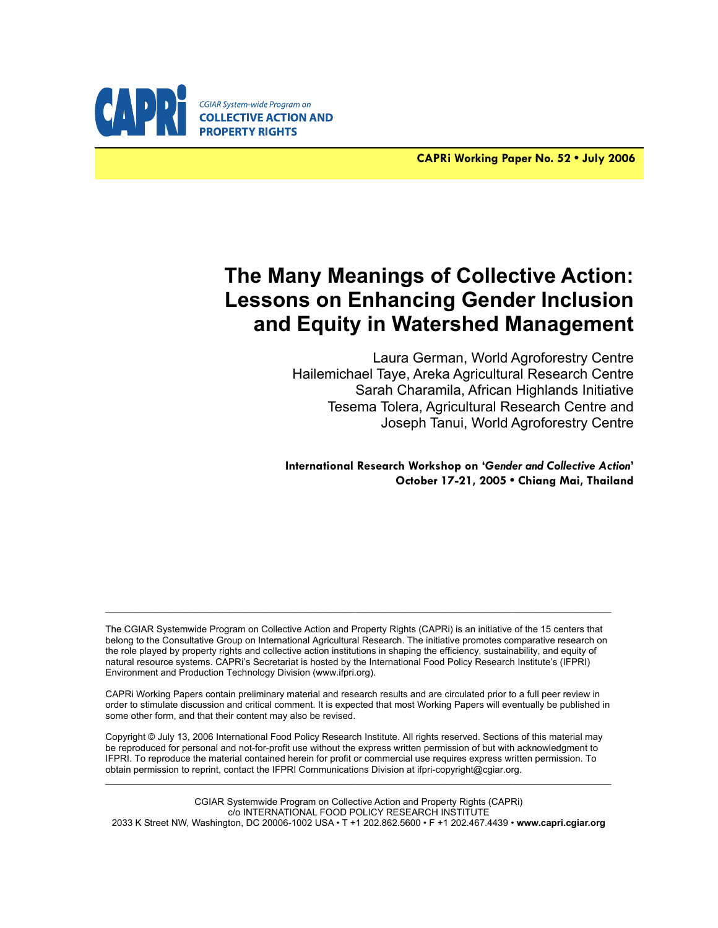

**CAPRi Working Paper No. 52 • July 2006**

# **The Many Meanings of Collective Action: Lessons on Enhancing Gender Inclusion and Equity in Watershed Management**

Laura German, World Agroforestry Centre Hailemichael Taye, Areka Agricultural Research Centre Sarah Charamila, African Highlands Initiative Tesema Tolera, Agricultural Research Centre and Joseph Tanui, World Agroforestry Centre

**International Research Workshop on '***Gender and Collective Action***' October 17-21, 2005 • Chiang Mai, Thailand**

The CGIAR Systemwide Program on Collective Action and Property Rights (CAPRi) is an initiative of the 15 centers that belong to the Consultative Group on International Agricultural Research. The initiative promotes comparative research on the role played by property rights and collective action institutions in shaping the efficiency, sustainability, and equity of natural resource systems. CAPRi's Secretariat is hosted by the International Food Policy Research Institute's (IFPRI) Environment and Production Technology Division (www.ifpri.org).

 $\mathcal{L}_\mathcal{L} = \{ \mathcal{L}_\mathcal{L} = \{ \mathcal{L}_\mathcal{L} = \{ \mathcal{L}_\mathcal{L} = \{ \mathcal{L}_\mathcal{L} = \{ \mathcal{L}_\mathcal{L} = \{ \mathcal{L}_\mathcal{L} = \{ \mathcal{L}_\mathcal{L} = \{ \mathcal{L}_\mathcal{L} = \{ \mathcal{L}_\mathcal{L} = \{ \mathcal{L}_\mathcal{L} = \{ \mathcal{L}_\mathcal{L} = \{ \mathcal{L}_\mathcal{L} = \{ \mathcal{L}_\mathcal{L} = \{ \mathcal{L}_\mathcal{$ 

CAPRi Working Papers contain preliminary material and research results and are circulated prior to a full peer review in order to stimulate discussion and critical comment. It is expected that most Working Papers will eventually be published in some other form, and that their content may also be revised.

Copyright © July 13, 2006 International Food Policy Research Institute. All rights reserved. Sections of this material may be reproduced for personal and not-for-profit use without the express written permission of but with acknowledgment to IFPRI. To reproduce the material contained herein for profit or commercial use requires express written permission. To obtain permission to reprint, contact the IFPRI Communications Division at ifpri-copyright@cgiar.org.

CGIAR Systemwide Program on Collective Action and Property Rights (CAPRi) c/o INTERNATIONAL FOOD POLICY RESEARCH INSTITUTE 2033 K Street NW, Washington, DC 20006-1002 USA • T +1 202.862.5600 • F +1 202.467.4439 • **www.capri.cgiar.org** 

\_\_\_\_\_\_\_\_\_\_\_\_\_\_\_\_\_\_\_\_\_\_\_\_\_\_\_\_\_\_\_\_\_\_\_\_\_\_\_\_\_\_\_\_\_\_\_\_\_\_\_\_\_\_\_\_\_\_\_\_\_\_\_\_\_\_\_\_\_\_\_\_\_\_\_\_\_\_\_\_\_\_\_\_\_\_\_\_\_\_\_\_\_\_\_\_\_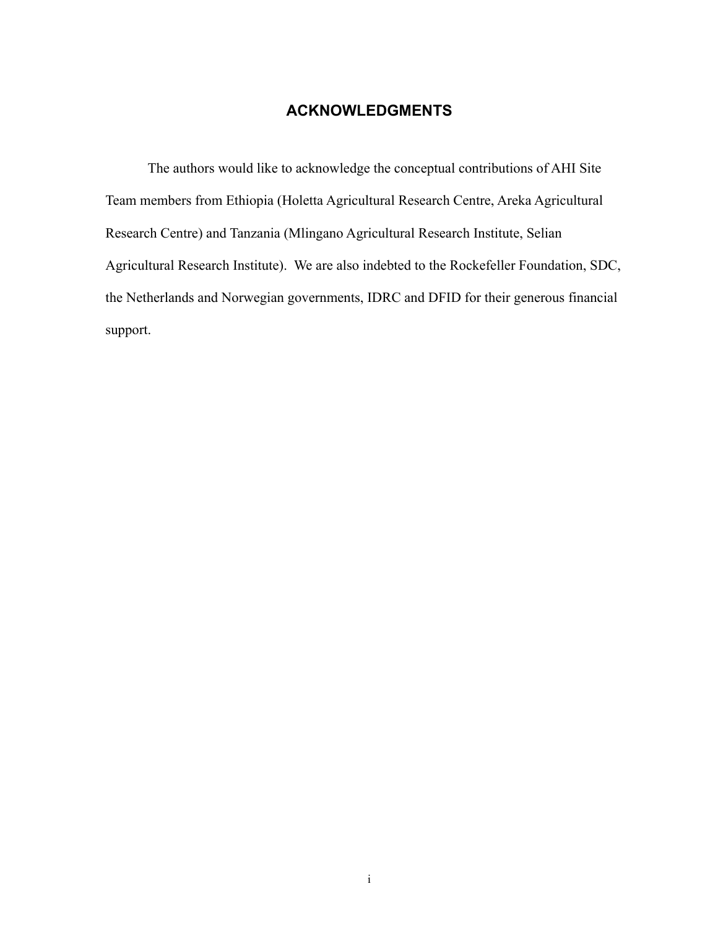## **ACKNOWLEDGMENTS**

The authors would like to acknowledge the conceptual contributions of AHI Site Team members from Ethiopia (Holetta Agricultural Research Centre, Areka Agricultural Research Centre) and Tanzania (Mlingano Agricultural Research Institute, Selian Agricultural Research Institute). We are also indebted to the Rockefeller Foundation, SDC, the Netherlands and Norwegian governments, IDRC and DFID for their generous financial support.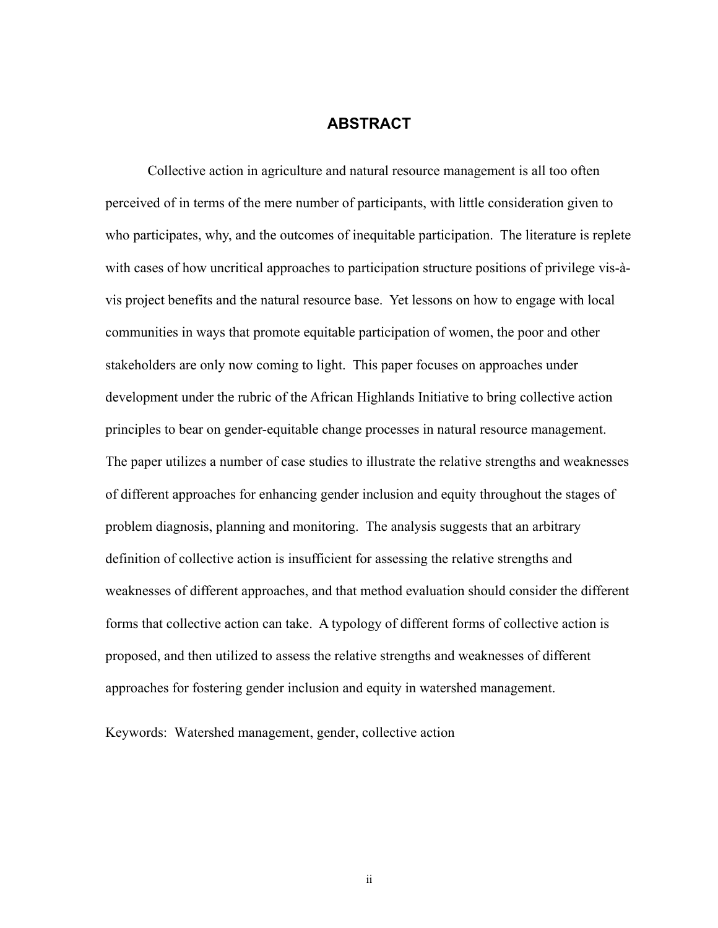### **ABSTRACT**

Collective action in agriculture and natural resource management is all too often perceived of in terms of the mere number of participants, with little consideration given to who participates, why, and the outcomes of inequitable participation. The literature is replete with cases of how uncritical approaches to participation structure positions of privilege vis-àvis project benefits and the natural resource base. Yet lessons on how to engage with local communities in ways that promote equitable participation of women, the poor and other stakeholders are only now coming to light. This paper focuses on approaches under development under the rubric of the African Highlands Initiative to bring collective action principles to bear on gender-equitable change processes in natural resource management. The paper utilizes a number of case studies to illustrate the relative strengths and weaknesses of different approaches for enhancing gender inclusion and equity throughout the stages of problem diagnosis, planning and monitoring. The analysis suggests that an arbitrary definition of collective action is insufficient for assessing the relative strengths and weaknesses of different approaches, and that method evaluation should consider the different forms that collective action can take. A typology of different forms of collective action is proposed, and then utilized to assess the relative strengths and weaknesses of different approaches for fostering gender inclusion and equity in watershed management.

Keywords: Watershed management, gender, collective action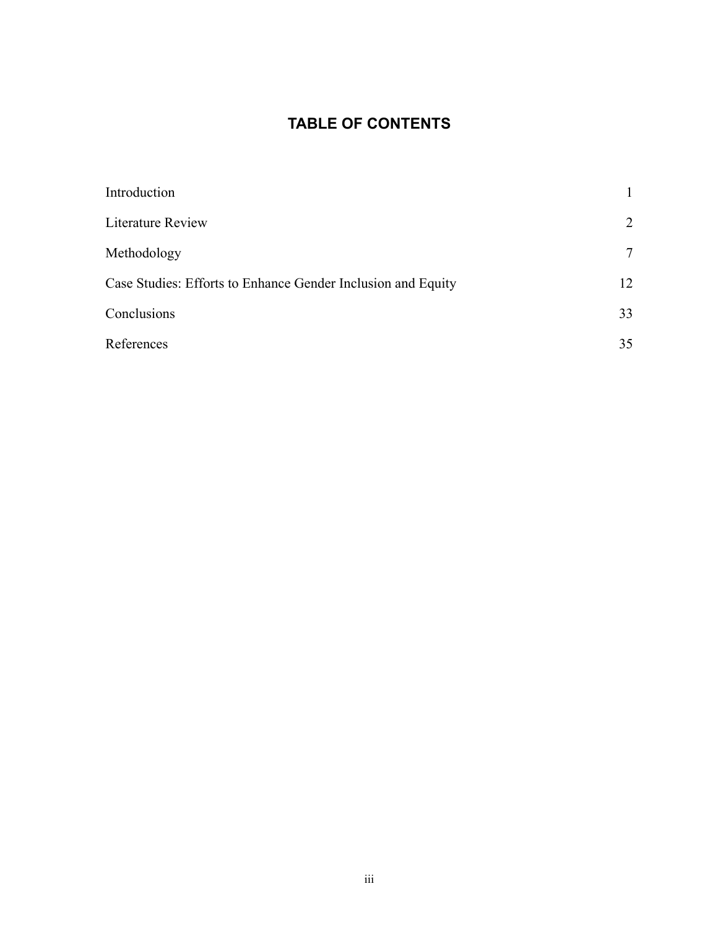## **TABLE OF CONTENTS**

| Introduction                                                 |    |
|--------------------------------------------------------------|----|
| Literature Review                                            | 2  |
| Methodology                                                  | 7  |
| Case Studies: Efforts to Enhance Gender Inclusion and Equity | 12 |
| Conclusions                                                  | 33 |
| References                                                   | 35 |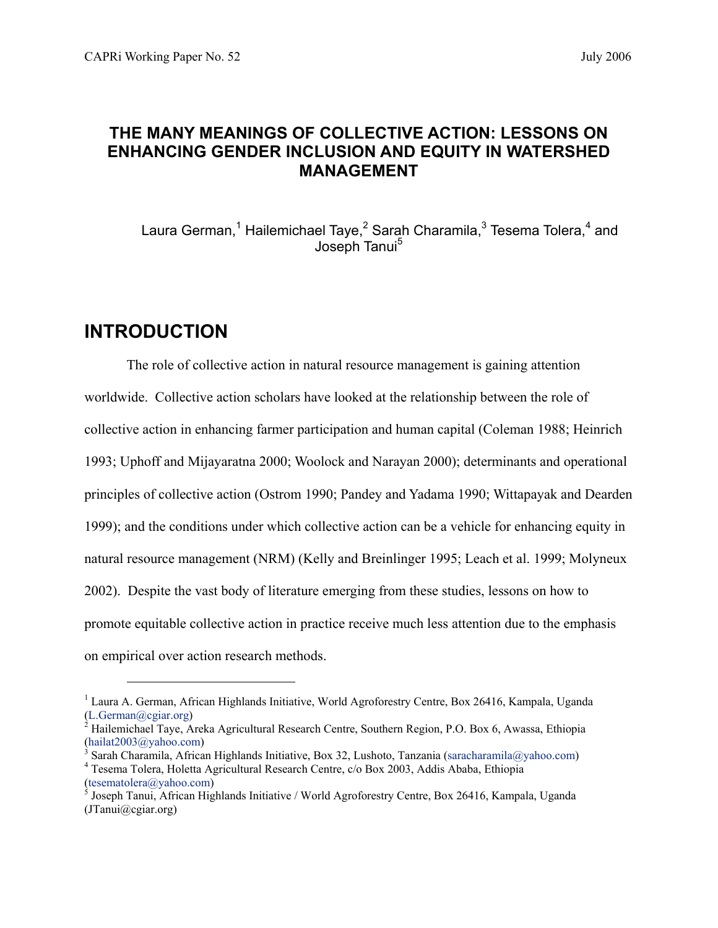## **THE MANY MEANINGS OF COLLECTIVE ACTION: LESSONS ON ENHANCING GENDER INCLUSION AND EQUITY IN WATERSHED MANAGEMENT**

Laura German,<sup>1</sup> Hailemichael Taye,<sup>2</sup> Sarah Charamila,<sup>3</sup> Tesema Tolera,<sup>4</sup> and Joseph Tanui<sup>5</sup>

## **INTRODUCTION**

l

The role of collective action in natural resource management is gaining attention worldwide. Collective action scholars have looked at the relationship between the role of collective action in enhancing farmer participation and human capital (Coleman 1988; Heinrich 1993; Uphoff and Mijayaratna 2000; Woolock and Narayan 2000); determinants and operational principles of collective action (Ostrom 1990; Pandey and Yadama 1990; Wittapayak and Dearden 1999); and the conditions under which collective action can be a vehicle for enhancing equity in natural resource management (NRM) (Kelly and Breinlinger 1995; Leach et al. 1999; Molyneux 2002). Despite the vast body of literature emerging from these studies, lessons on how to promote equitable collective action in practice receive much less attention due to the emphasis on empirical over action research methods.

<sup>&</sup>lt;sup>1</sup> Laura A. German, African Highlands Initiative, World Agroforestry Centre, Box 26416, Kampala, Uganda (L.German@cgiar.org) 2

<sup>&</sup>lt;sup>2</sup> Hailemichael Taye, Areka Agricultural Research Centre, Southern Region, P.O. Box 6, Awassa, Ethiopia (hailat2003@yahoo.com) 3

Sarah Charamila, African Highlands Initiative, Box 32, Lushoto, Tanzania (saracharamila@yahoo.com) Tesema Tolera, Holetta Agricultural Research Centre, c/o Box 2003, Addis Ababa, Ethiopia  $(tesematolera@yahoo.com)$ 

 $\overrightarrow{S}$  Joseph Tanui, African Highlands Initiative / World Agroforestry Centre, Box 26416, Kampala, Uganda (JTanui@cgiar.org)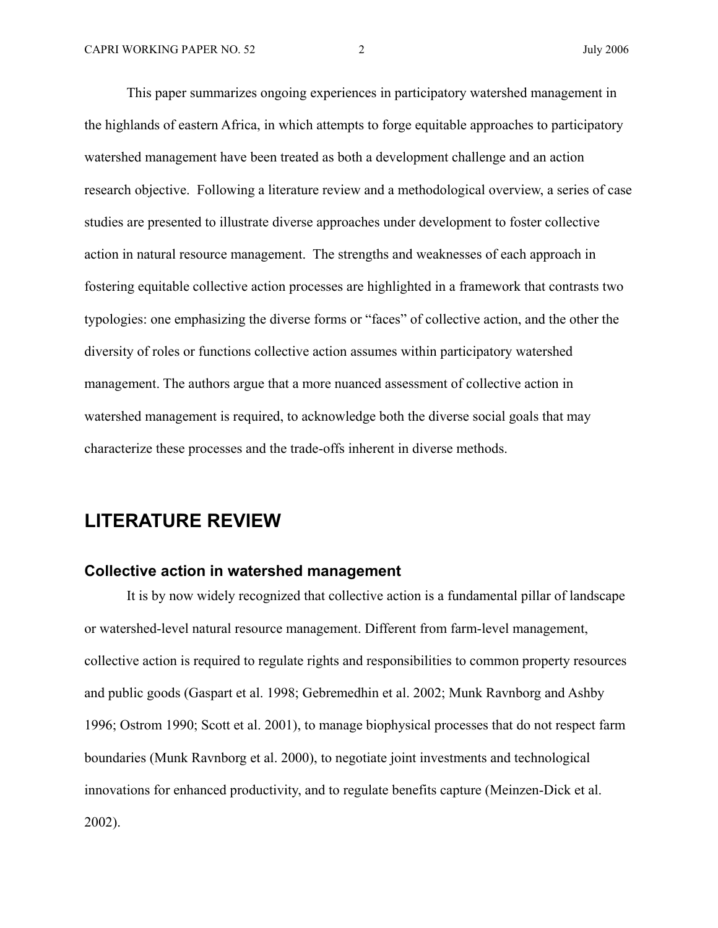This paper summarizes ongoing experiences in participatory watershed management in the highlands of eastern Africa, in which attempts to forge equitable approaches to participatory watershed management have been treated as both a development challenge and an action research objective. Following a literature review and a methodological overview, a series of case studies are presented to illustrate diverse approaches under development to foster collective action in natural resource management. The strengths and weaknesses of each approach in fostering equitable collective action processes are highlighted in a framework that contrasts two typologies: one emphasizing the diverse forms or "faces" of collective action, and the other the diversity of roles or functions collective action assumes within participatory watershed management. The authors argue that a more nuanced assessment of collective action in watershed management is required, to acknowledge both the diverse social goals that may characterize these processes and the trade-offs inherent in diverse methods.

## **LITERATURE REVIEW**

#### **Collective action in watershed management**

It is by now widely recognized that collective action is a fundamental pillar of landscape or watershed-level natural resource management. Different from farm-level management, collective action is required to regulate rights and responsibilities to common property resources and public goods (Gaspart et al. 1998; Gebremedhin et al. 2002; Munk Ravnborg and Ashby 1996; Ostrom 1990; Scott et al. 2001), to manage biophysical processes that do not respect farm boundaries (Munk Ravnborg et al. 2000), to negotiate joint investments and technological innovations for enhanced productivity, and to regulate benefits capture (Meinzen-Dick et al. 2002).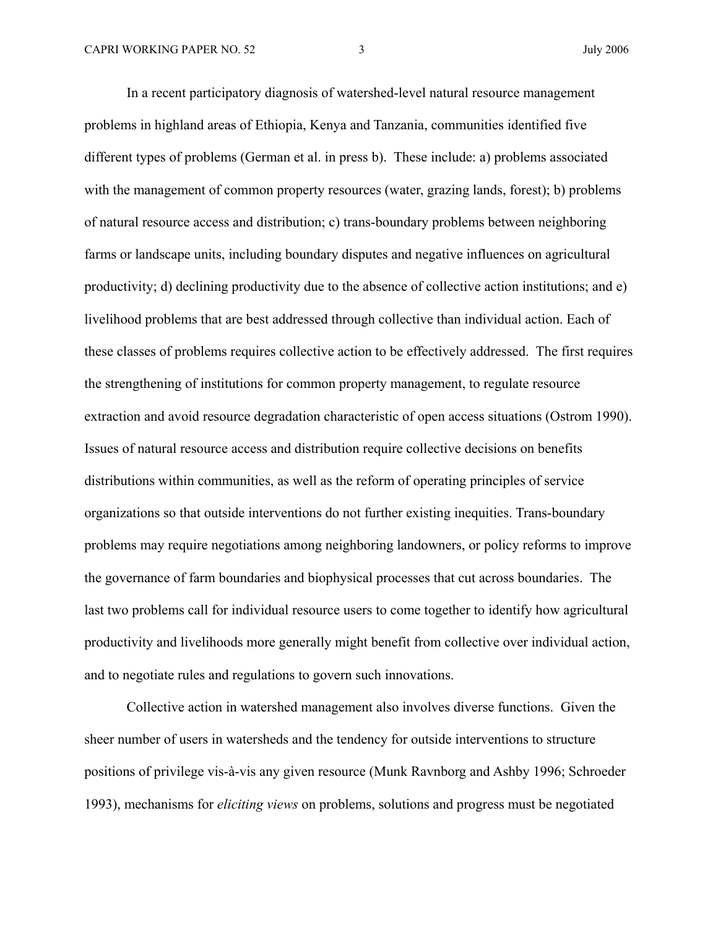In a recent participatory diagnosis of watershed-level natural resource management problems in highland areas of Ethiopia, Kenya and Tanzania, communities identified five different types of problems (German et al. in press b). These include: a) problems associated with the management of common property resources (water, grazing lands, forest); b) problems of natural resource access and distribution; c) trans-boundary problems between neighboring farms or landscape units, including boundary disputes and negative influences on agricultural productivity; d) declining productivity due to the absence of collective action institutions; and e) livelihood problems that are best addressed through collective than individual action. Each of these classes of problems requires collective action to be effectively addressed. The first requires the strengthening of institutions for common property management, to regulate resource extraction and avoid resource degradation characteristic of open access situations (Ostrom 1990). Issues of natural resource access and distribution require collective decisions on benefits distributions within communities, as well as the reform of operating principles of service organizations so that outside interventions do not further existing inequities. Trans-boundary problems may require negotiations among neighboring landowners, or policy reforms to improve the governance of farm boundaries and biophysical processes that cut across boundaries. The last two problems call for individual resource users to come together to identify how agricultural productivity and livelihoods more generally might benefit from collective over individual action, and to negotiate rules and regulations to govern such innovations.

Collective action in watershed management also involves diverse functions. Given the sheer number of users in watersheds and the tendency for outside interventions to structure positions of privilege vis-à-vis any given resource (Munk Ravnborg and Ashby 1996; Schroeder 1993), mechanisms for *eliciting views* on problems, solutions and progress must be negotiated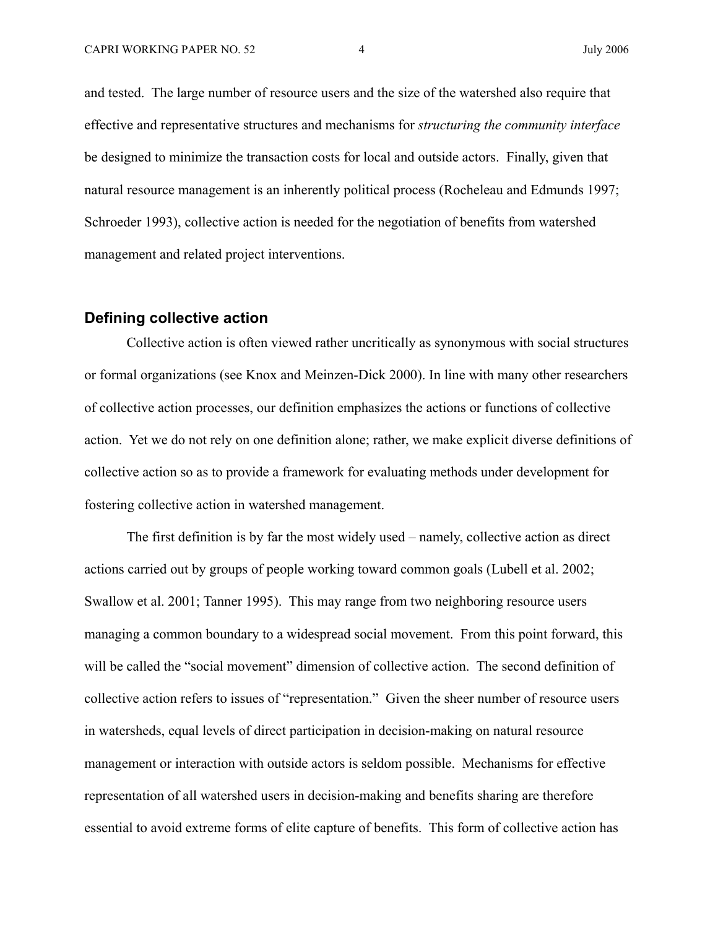and tested. The large number of resource users and the size of the watershed also require that effective and representative structures and mechanisms for *structuring the community interface* be designed to minimize the transaction costs for local and outside actors. Finally, given that natural resource management is an inherently political process (Rocheleau and Edmunds 1997; Schroeder 1993), collective action is needed for the negotiation of benefits from watershed management and related project interventions.

#### **Defining collective action**

Collective action is often viewed rather uncritically as synonymous with social structures or formal organizations (see Knox and Meinzen-Dick 2000). In line with many other researchers of collective action processes, our definition emphasizes the actions or functions of collective action. Yet we do not rely on one definition alone; rather, we make explicit diverse definitions of collective action so as to provide a framework for evaluating methods under development for fostering collective action in watershed management.

The first definition is by far the most widely used – namely, collective action as direct actions carried out by groups of people working toward common goals (Lubell et al. 2002; Swallow et al. 2001; Tanner 1995). This may range from two neighboring resource users managing a common boundary to a widespread social movement. From this point forward, this will be called the "social movement" dimension of collective action. The second definition of collective action refers to issues of "representation." Given the sheer number of resource users in watersheds, equal levels of direct participation in decision-making on natural resource management or interaction with outside actors is seldom possible. Mechanisms for effective representation of all watershed users in decision-making and benefits sharing are therefore essential to avoid extreme forms of elite capture of benefits. This form of collective action has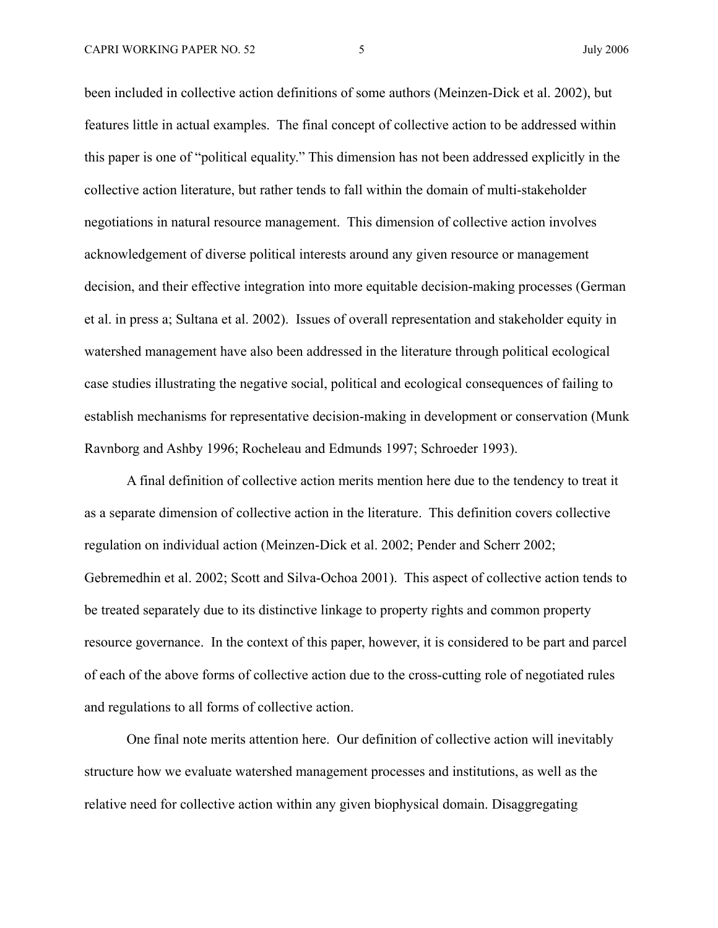been included in collective action definitions of some authors (Meinzen-Dick et al. 2002), but features little in actual examples. The final concept of collective action to be addressed within this paper is one of "political equality." This dimension has not been addressed explicitly in the collective action literature, but rather tends to fall within the domain of multi-stakeholder negotiations in natural resource management. This dimension of collective action involves acknowledgement of diverse political interests around any given resource or management decision, and their effective integration into more equitable decision-making processes (German et al. in press a; Sultana et al. 2002). Issues of overall representation and stakeholder equity in watershed management have also been addressed in the literature through political ecological case studies illustrating the negative social, political and ecological consequences of failing to establish mechanisms for representative decision-making in development or conservation (Munk Ravnborg and Ashby 1996; Rocheleau and Edmunds 1997; Schroeder 1993).

A final definition of collective action merits mention here due to the tendency to treat it as a separate dimension of collective action in the literature. This definition covers collective regulation on individual action (Meinzen-Dick et al. 2002; Pender and Scherr 2002; Gebremedhin et al. 2002; Scott and Silva-Ochoa 2001). This aspect of collective action tends to be treated separately due to its distinctive linkage to property rights and common property resource governance. In the context of this paper, however, it is considered to be part and parcel of each of the above forms of collective action due to the cross-cutting role of negotiated rules and regulations to all forms of collective action.

One final note merits attention here. Our definition of collective action will inevitably structure how we evaluate watershed management processes and institutions, as well as the relative need for collective action within any given biophysical domain. Disaggregating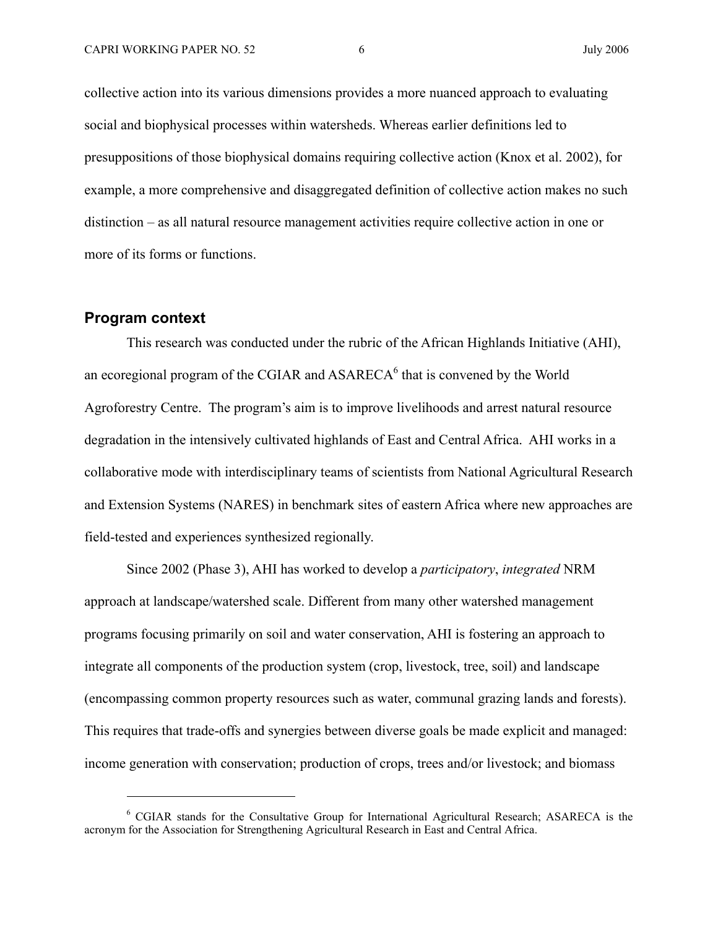collective action into its various dimensions provides a more nuanced approach to evaluating social and biophysical processes within watersheds. Whereas earlier definitions led to presuppositions of those biophysical domains requiring collective action (Knox et al. 2002), for example, a more comprehensive and disaggregated definition of collective action makes no such distinction – as all natural resource management activities require collective action in one or more of its forms or functions.

#### **Program context**

l

This research was conducted under the rubric of the African Highlands Initiative (AHI), an ecoregional program of the CGIAR and  $ASARECA<sup>6</sup>$  that is convened by the World Agroforestry Centre. The program's aim is to improve livelihoods and arrest natural resource degradation in the intensively cultivated highlands of East and Central Africa. AHI works in a collaborative mode with interdisciplinary teams of scientists from National Agricultural Research and Extension Systems (NARES) in benchmark sites of eastern Africa where new approaches are field-tested and experiences synthesized regionally.

Since 2002 (Phase 3), AHI has worked to develop a *participatory*, *integrated* NRM approach at landscape/watershed scale. Different from many other watershed management programs focusing primarily on soil and water conservation, AHI is fostering an approach to integrate all components of the production system (crop, livestock, tree, soil) and landscape (encompassing common property resources such as water, communal grazing lands and forests). This requires that trade-offs and synergies between diverse goals be made explicit and managed: income generation with conservation; production of crops, trees and/or livestock; and biomass

<sup>&</sup>lt;sup>6</sup> CGIAR stands for the Consultative Group for International Agricultural Research; ASARECA is the acronym for the Association for Strengthening Agricultural Research in East and Central Africa.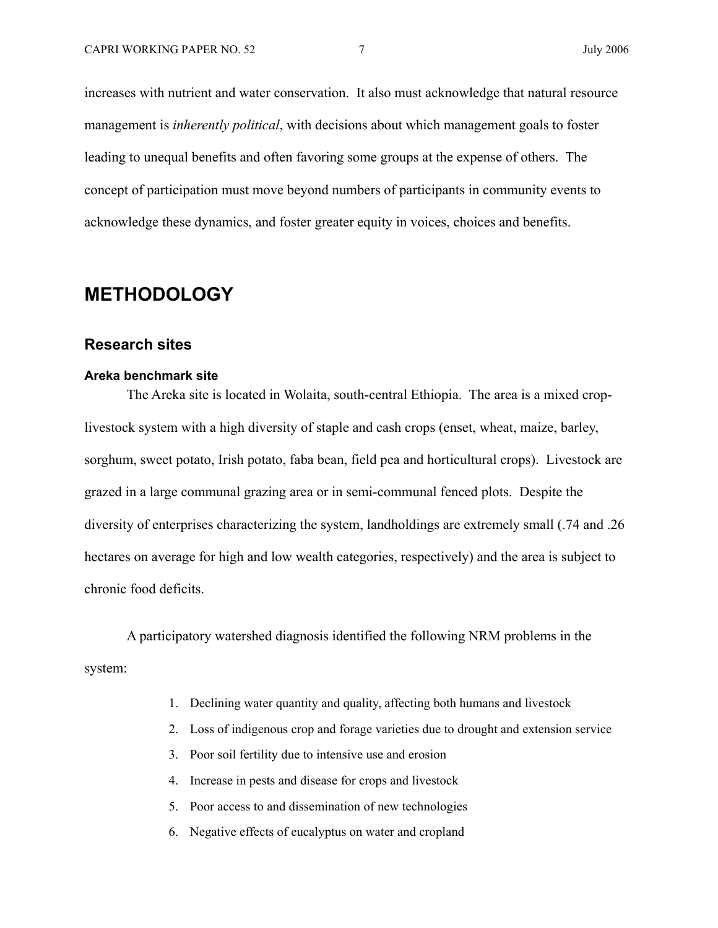increases with nutrient and water conservation. It also must acknowledge that natural resource management is *inherently political*, with decisions about which management goals to foster leading to unequal benefits and often favoring some groups at the expense of others. The concept of participation must move beyond numbers of participants in community events to acknowledge these dynamics, and foster greater equity in voices, choices and benefits.

## **METHODOLOGY**

#### **Research sites**

#### **Areka benchmark site**

The Areka site is located in Wolaita, south-central Ethiopia. The area is a mixed croplivestock system with a high diversity of staple and cash crops (enset, wheat, maize, barley, sorghum, sweet potato, Irish potato, faba bean, field pea and horticultural crops). Livestock are grazed in a large communal grazing area or in semi-communal fenced plots. Despite the diversity of enterprises characterizing the system, landholdings are extremely small (.74 and .26 hectares on average for high and low wealth categories, respectively) and the area is subject to chronic food deficits.

A participatory watershed diagnosis identified the following NRM problems in the system:

- 1. Declining water quantity and quality, affecting both humans and livestock
- 2. Loss of indigenous crop and forage varieties due to drought and extension service
- 3. Poor soil fertility due to intensive use and erosion
- 4. Increase in pests and disease for crops and livestock
- 5. Poor access to and dissemination of new technologies
- 6. Negative effects of eucalyptus on water and cropland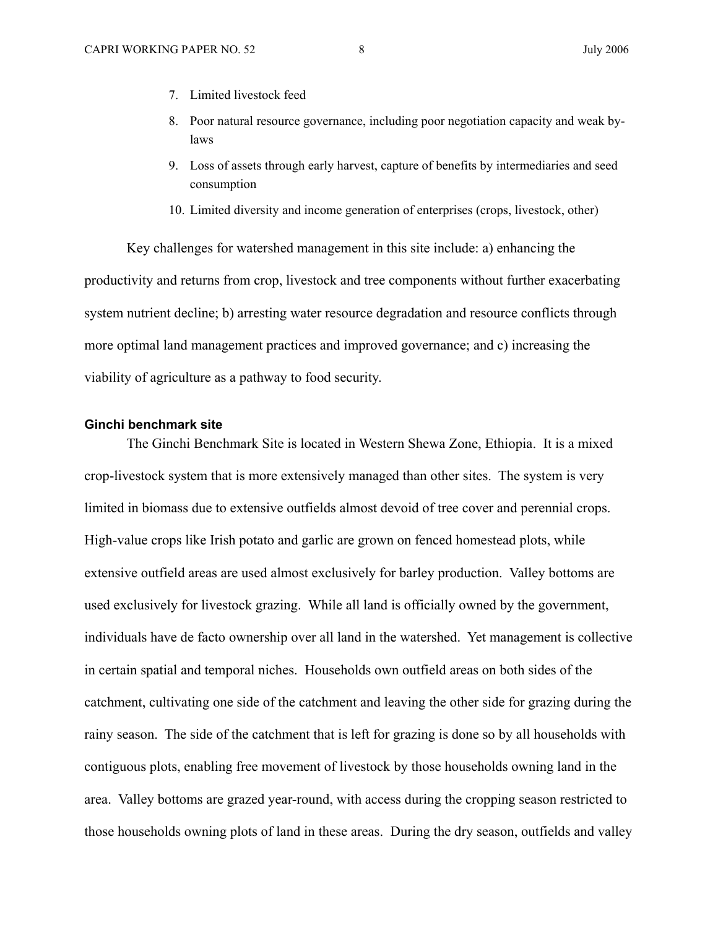- 7. Limited livestock feed
- 8. Poor natural resource governance, including poor negotiation capacity and weak bylaws
- 9. Loss of assets through early harvest, capture of benefits by intermediaries and seed consumption
- 10. Limited diversity and income generation of enterprises (crops, livestock, other)

Key challenges for watershed management in this site include: a) enhancing the productivity and returns from crop, livestock and tree components without further exacerbating system nutrient decline; b) arresting water resource degradation and resource conflicts through more optimal land management practices and improved governance; and c) increasing the viability of agriculture as a pathway to food security.

#### **Ginchi benchmark site**

The Ginchi Benchmark Site is located in Western Shewa Zone, Ethiopia. It is a mixed crop-livestock system that is more extensively managed than other sites. The system is very limited in biomass due to extensive outfields almost devoid of tree cover and perennial crops. High-value crops like Irish potato and garlic are grown on fenced homestead plots, while extensive outfield areas are used almost exclusively for barley production. Valley bottoms are used exclusively for livestock grazing. While all land is officially owned by the government, individuals have de facto ownership over all land in the watershed. Yet management is collective in certain spatial and temporal niches. Households own outfield areas on both sides of the catchment, cultivating one side of the catchment and leaving the other side for grazing during the rainy season. The side of the catchment that is left for grazing is done so by all households with contiguous plots, enabling free movement of livestock by those households owning land in the area. Valley bottoms are grazed year-round, with access during the cropping season restricted to those households owning plots of land in these areas. During the dry season, outfields and valley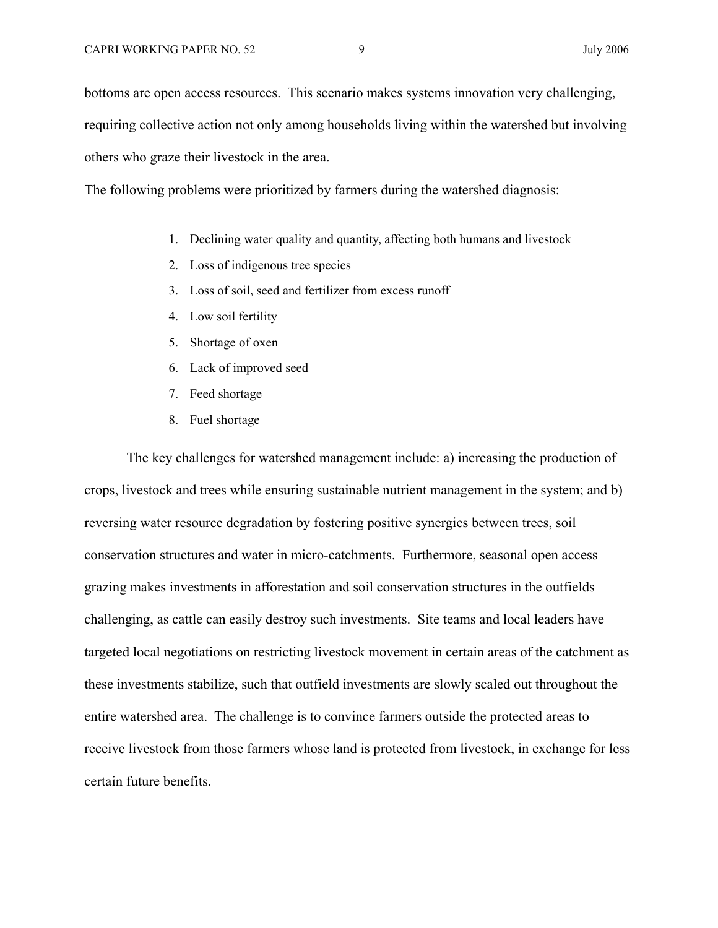bottoms are open access resources. This scenario makes systems innovation very challenging, requiring collective action not only among households living within the watershed but involving others who graze their livestock in the area.

The following problems were prioritized by farmers during the watershed diagnosis:

- 1. Declining water quality and quantity, affecting both humans and livestock
- 2. Loss of indigenous tree species
- 3. Loss of soil, seed and fertilizer from excess runoff
- 4. Low soil fertility
- 5. Shortage of oxen
- 6. Lack of improved seed
- 7. Feed shortage
- 8. Fuel shortage

The key challenges for watershed management include: a) increasing the production of crops, livestock and trees while ensuring sustainable nutrient management in the system; and b) reversing water resource degradation by fostering positive synergies between trees, soil conservation structures and water in micro-catchments. Furthermore, seasonal open access grazing makes investments in afforestation and soil conservation structures in the outfields challenging, as cattle can easily destroy such investments. Site teams and local leaders have targeted local negotiations on restricting livestock movement in certain areas of the catchment as these investments stabilize, such that outfield investments are slowly scaled out throughout the entire watershed area. The challenge is to convince farmers outside the protected areas to receive livestock from those farmers whose land is protected from livestock, in exchange for less certain future benefits.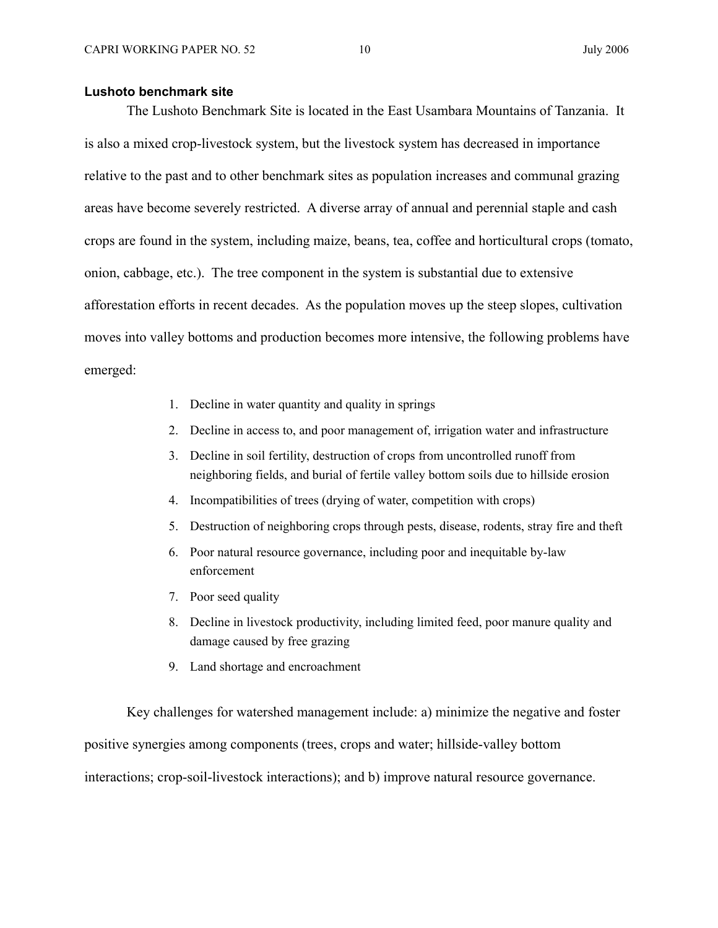#### **Lushoto benchmark site**

The Lushoto Benchmark Site is located in the East Usambara Mountains of Tanzania. It is also a mixed crop-livestock system, but the livestock system has decreased in importance relative to the past and to other benchmark sites as population increases and communal grazing areas have become severely restricted. A diverse array of annual and perennial staple and cash crops are found in the system, including maize, beans, tea, coffee and horticultural crops (tomato, onion, cabbage, etc.). The tree component in the system is substantial due to extensive afforestation efforts in recent decades. As the population moves up the steep slopes, cultivation moves into valley bottoms and production becomes more intensive, the following problems have emerged:

- 1. Decline in water quantity and quality in springs
- 2. Decline in access to, and poor management of, irrigation water and infrastructure
- 3. Decline in soil fertility, destruction of crops from uncontrolled runoff from neighboring fields, and burial of fertile valley bottom soils due to hillside erosion
- 4. Incompatibilities of trees (drying of water, competition with crops)
- 5. Destruction of neighboring crops through pests, disease, rodents, stray fire and theft
- 6. Poor natural resource governance, including poor and inequitable by-law enforcement
- 7. Poor seed quality
- 8. Decline in livestock productivity, including limited feed, poor manure quality and damage caused by free grazing
- 9. Land shortage and encroachment

Key challenges for watershed management include: a) minimize the negative and foster positive synergies among components (trees, crops and water; hillside-valley bottom interactions; crop-soil-livestock interactions); and b) improve natural resource governance.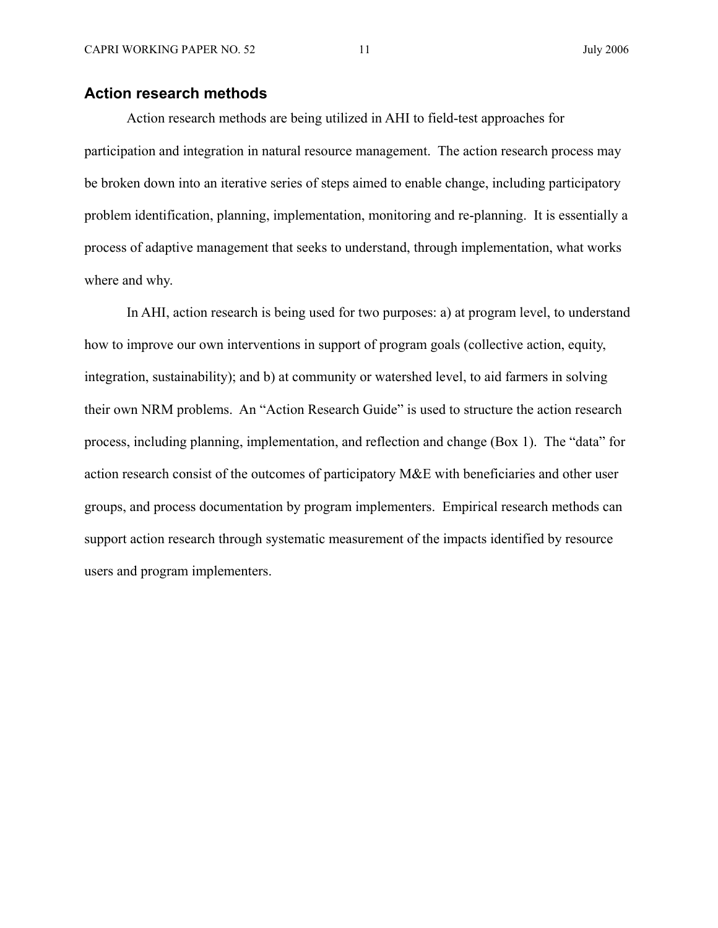#### **Action research methods**

Action research methods are being utilized in AHI to field-test approaches for participation and integration in natural resource management. The action research process may be broken down into an iterative series of steps aimed to enable change, including participatory problem identification, planning, implementation, monitoring and re-planning. It is essentially a process of adaptive management that seeks to understand, through implementation, what works where and why.

In AHI, action research is being used for two purposes: a) at program level, to understand how to improve our own interventions in support of program goals (collective action, equity, integration, sustainability); and b) at community or watershed level, to aid farmers in solving their own NRM problems. An "Action Research Guide" is used to structure the action research process, including planning, implementation, and reflection and change (Box 1). The "data" for action research consist of the outcomes of participatory M&E with beneficiaries and other user groups, and process documentation by program implementers. Empirical research methods can support action research through systematic measurement of the impacts identified by resource users and program implementers.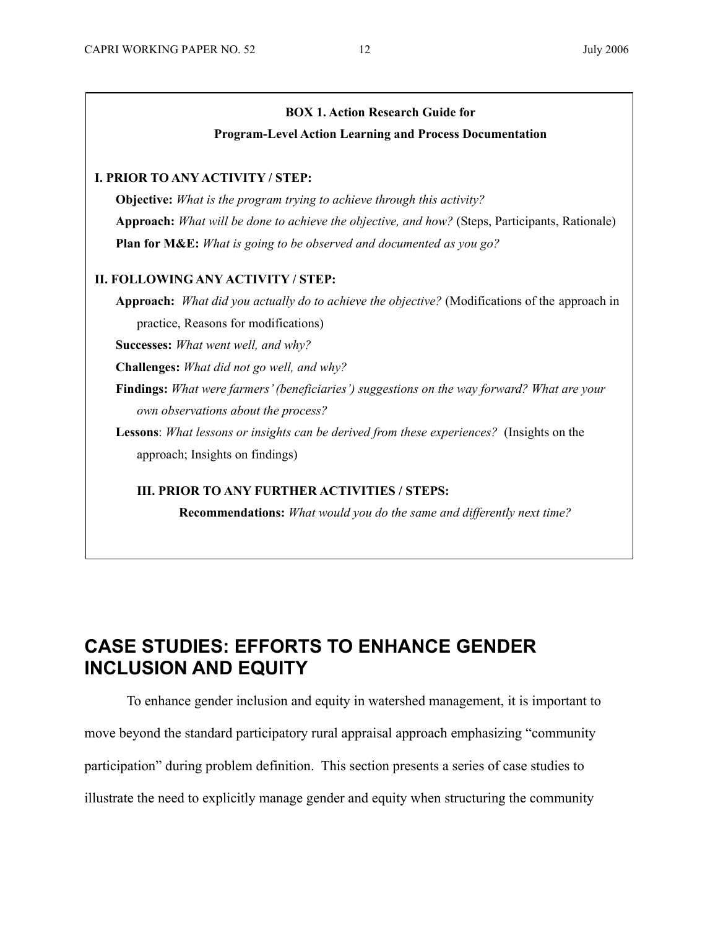#### **BOX 1. Action Research Guide for**

#### **Program-Level Action Learning and Process Documentation**

#### **I. PRIOR TO ANY ACTIVITY / STEP:**

 **Objective:** *What is the program trying to achieve through this activity?*  **Approach:** *What will be done to achieve the objective, and how?* (Steps, Participants, Rationale)  **Plan for M&E:** *What is going to be observed and documented as you go?*

#### **II. FOLLOWING ANY ACTIVITY / STEP:**

 **Approach:** *What did you actually do to achieve the objective?* (Modifications of the approach in practice, Reasons for modifications)

**Successes:** *What went well, and why?* 

**Challenges:** *What did not go well, and why?*

 **Findings:** *What were farmers' (beneficiaries') suggestions on the way forward? What are your own observations about the process?* 

 **Lessons**: *What lessons or insights can be derived from these experiences?* (Insights on the approach; Insights on findings)

#### **III. PRIOR TO ANY FURTHER ACTIVITIES / STEPS:**

 **Recommendations:** *What would you do the same and differently next time?*

## **CASE STUDIES: EFFORTS TO ENHANCE GENDER INCLUSION AND EQUITY**

To enhance gender inclusion and equity in watershed management, it is important to move beyond the standard participatory rural appraisal approach emphasizing "community participation" during problem definition. This section presents a series of case studies to illustrate the need to explicitly manage gender and equity when structuring the community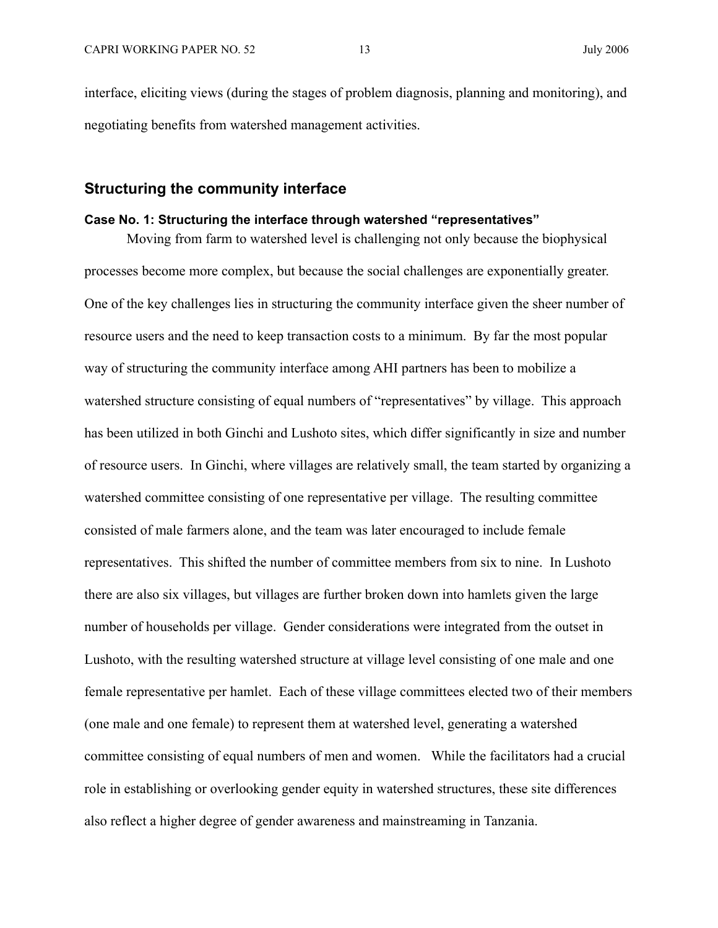interface, eliciting views (during the stages of problem diagnosis, planning and monitoring), and negotiating benefits from watershed management activities.

#### **Structuring the community interface**

#### **Case No. 1: Structuring the interface through watershed "representatives"**

Moving from farm to watershed level is challenging not only because the biophysical processes become more complex, but because the social challenges are exponentially greater. One of the key challenges lies in structuring the community interface given the sheer number of resource users and the need to keep transaction costs to a minimum. By far the most popular way of structuring the community interface among AHI partners has been to mobilize a watershed structure consisting of equal numbers of "representatives" by village. This approach has been utilized in both Ginchi and Lushoto sites, which differ significantly in size and number of resource users. In Ginchi, where villages are relatively small, the team started by organizing a watershed committee consisting of one representative per village. The resulting committee consisted of male farmers alone, and the team was later encouraged to include female representatives. This shifted the number of committee members from six to nine. In Lushoto there are also six villages, but villages are further broken down into hamlets given the large number of households per village. Gender considerations were integrated from the outset in Lushoto, with the resulting watershed structure at village level consisting of one male and one female representative per hamlet. Each of these village committees elected two of their members (one male and one female) to represent them at watershed level, generating a watershed committee consisting of equal numbers of men and women. While the facilitators had a crucial role in establishing or overlooking gender equity in watershed structures, these site differences also reflect a higher degree of gender awareness and mainstreaming in Tanzania.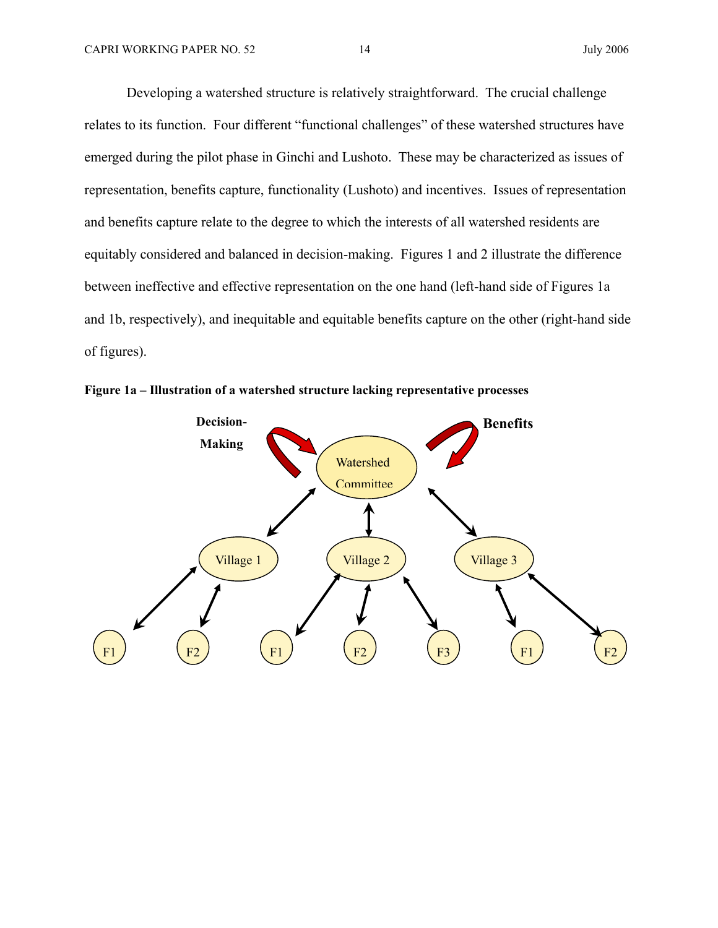Developing a watershed structure is relatively straightforward. The crucial challenge relates to its function. Four different "functional challenges" of these watershed structures have emerged during the pilot phase in Ginchi and Lushoto. These may be characterized as issues of representation, benefits capture, functionality (Lushoto) and incentives. Issues of representation and benefits capture relate to the degree to which the interests of all watershed residents are equitably considered and balanced in decision-making. Figures 1 and 2 illustrate the difference between ineffective and effective representation on the one hand (left-hand side of Figures 1a and 1b, respectively), and inequitable and equitable benefits capture on the other (right-hand side of figures).



**Figure 1a – Illustration of a watershed structure lacking representative processes**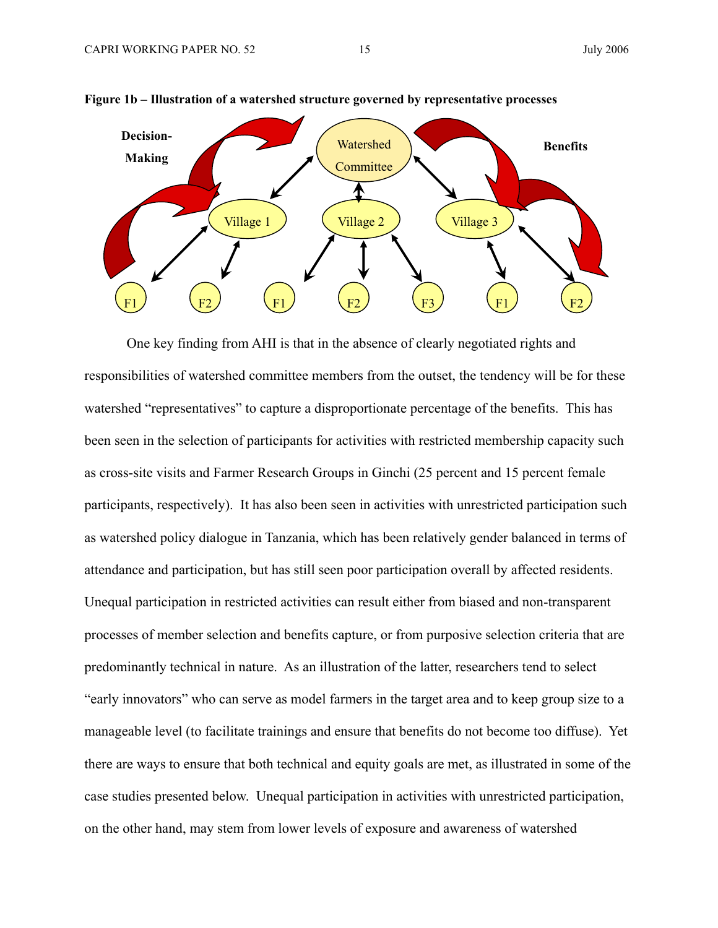

#### **Figure 1b – Illustration of a watershed structure governed by representative processes**

One key finding from AHI is that in the absence of clearly negotiated rights and responsibilities of watershed committee members from the outset, the tendency will be for these watershed "representatives" to capture a disproportionate percentage of the benefits. This has been seen in the selection of participants for activities with restricted membership capacity such as cross-site visits and Farmer Research Groups in Ginchi (25 percent and 15 percent female participants, respectively). It has also been seen in activities with unrestricted participation such as watershed policy dialogue in Tanzania, which has been relatively gender balanced in terms of attendance and participation, but has still seen poor participation overall by affected residents. Unequal participation in restricted activities can result either from biased and non-transparent processes of member selection and benefits capture, or from purposive selection criteria that are predominantly technical in nature. As an illustration of the latter, researchers tend to select "early innovators" who can serve as model farmers in the target area and to keep group size to a manageable level (to facilitate trainings and ensure that benefits do not become too diffuse). Yet there are ways to ensure that both technical and equity goals are met, as illustrated in some of the case studies presented below. Unequal participation in activities with unrestricted participation, on the other hand, may stem from lower levels of exposure and awareness of watershed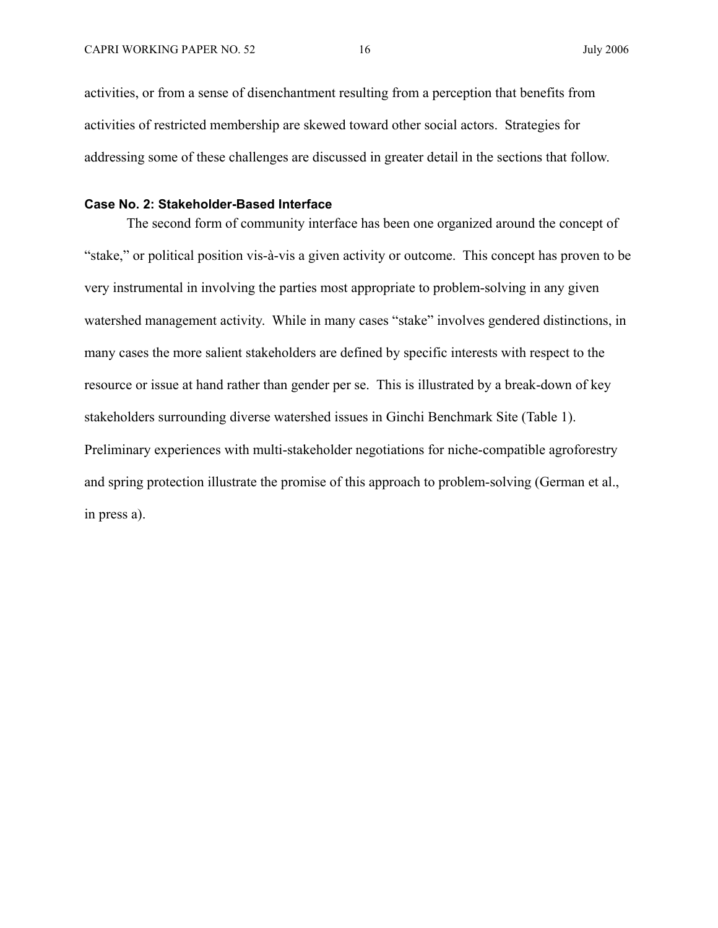activities, or from a sense of disenchantment resulting from a perception that benefits from activities of restricted membership are skewed toward other social actors. Strategies for addressing some of these challenges are discussed in greater detail in the sections that follow.

#### **Case No. 2: Stakeholder-Based Interface**

The second form of community interface has been one organized around the concept of "stake," or political position vis-à-vis a given activity or outcome. This concept has proven to be very instrumental in involving the parties most appropriate to problem-solving in any given watershed management activity. While in many cases "stake" involves gendered distinctions, in many cases the more salient stakeholders are defined by specific interests with respect to the resource or issue at hand rather than gender per se. This is illustrated by a break-down of key stakeholders surrounding diverse watershed issues in Ginchi Benchmark Site (Table 1). Preliminary experiences with multi-stakeholder negotiations for niche-compatible agroforestry and spring protection illustrate the promise of this approach to problem-solving (German et al., in press a).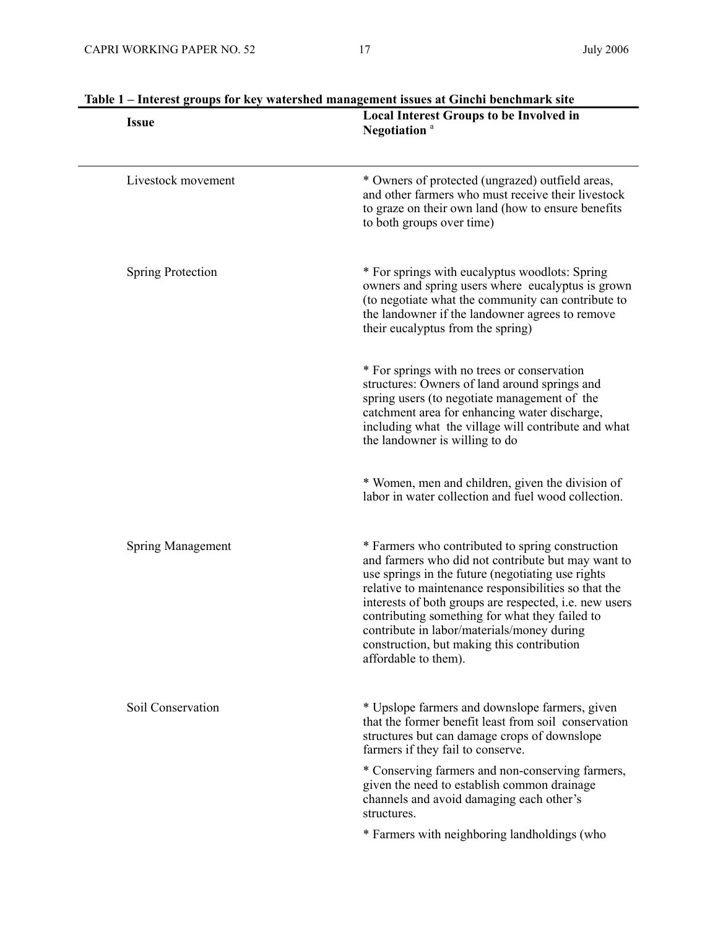| <b>Issue</b>             | <b>Local Interest Groups to be Involved in</b><br>Negotiation <sup>a</sup><br>* Owners of protected (ungrazed) outfield areas,<br>and other farmers who must receive their livestock<br>to graze on their own land (how to ensure benefits<br>to both groups over time)                                                                                                                                                                             |  |
|--------------------------|-----------------------------------------------------------------------------------------------------------------------------------------------------------------------------------------------------------------------------------------------------------------------------------------------------------------------------------------------------------------------------------------------------------------------------------------------------|--|
| Livestock movement       |                                                                                                                                                                                                                                                                                                                                                                                                                                                     |  |
| <b>Spring Protection</b> | * For springs with eucalyptus woodlots: Spring<br>owners and spring users where eucalyptus is grown<br>(to negotiate what the community can contribute to<br>the landowner if the landowner agrees to remove<br>their eucalyptus from the spring)                                                                                                                                                                                                   |  |
|                          | * For springs with no trees or conservation<br>structures: Owners of land around springs and<br>spring users (to negotiate management of the<br>catchment area for enhancing water discharge,<br>including what the village will contribute and what<br>the landowner is willing to do                                                                                                                                                              |  |
|                          | * Women, men and children, given the division of<br>labor in water collection and fuel wood collection.                                                                                                                                                                                                                                                                                                                                             |  |
| Spring Management        | * Farmers who contributed to spring construction<br>and farmers who did not contribute but may want to<br>use springs in the future (negotiating use rights<br>relative to maintenance responsibilities so that the<br>interests of both groups are respected, i.e. new users<br>contributing something for what they failed to<br>contribute in labor/materials/money during<br>construction, but making this contribution<br>affordable to them). |  |
| Soil Conservation        | * Upslope farmers and downslope farmers, given<br>that the former benefit least from soil conservation<br>structures but can damage crops of downslope<br>farmers if they fail to conserve.                                                                                                                                                                                                                                                         |  |
|                          | * Conserving farmers and non-conserving farmers,<br>given the need to establish common drainage<br>channels and avoid damaging each other's<br>structures.                                                                                                                                                                                                                                                                                          |  |
|                          | * Farmers with neighboring landholdings (who                                                                                                                                                                                                                                                                                                                                                                                                        |  |

| Table 1 – Interest groups for key watershed management issues at Ginchi benchmark site |
|----------------------------------------------------------------------------------------|
| Local Interest Groups to be Involved in                                                |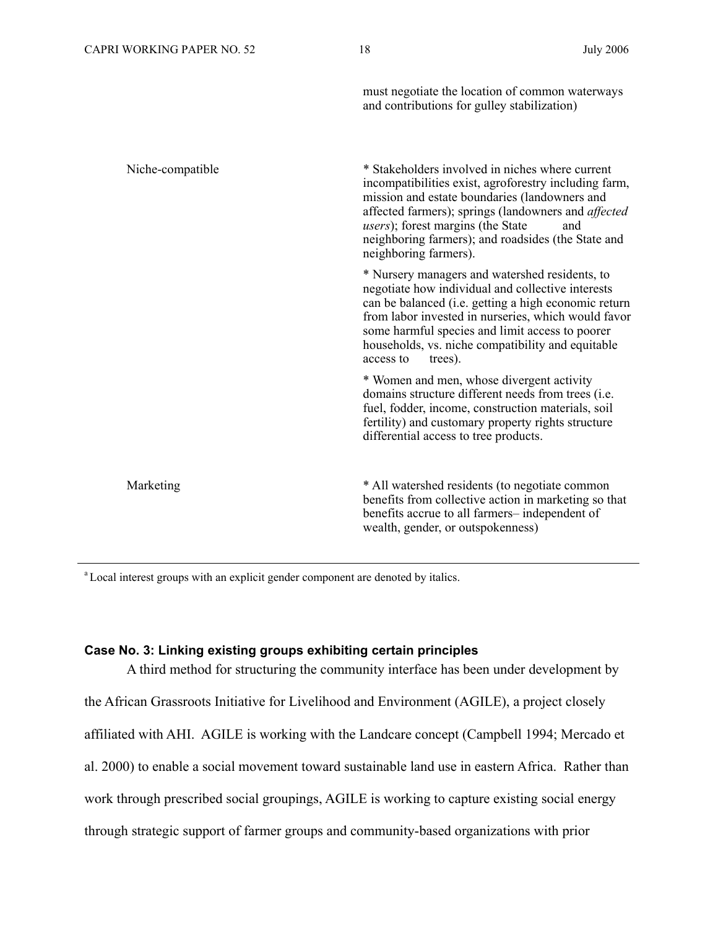|                  | must negotiate the location of common waterways<br>and contributions for gulley stabilization)                                                                                                                                                                                                                                                             |
|------------------|------------------------------------------------------------------------------------------------------------------------------------------------------------------------------------------------------------------------------------------------------------------------------------------------------------------------------------------------------------|
| Niche-compatible | * Stakeholders involved in niches where current<br>incompatibilities exist, agroforestry including farm,<br>mission and estate boundaries (landowners and<br>affected farmers); springs (landowners and <i>affected</i><br><i>users</i> ); forest margins (the State<br>and<br>neighboring farmers); and roadsides (the State and<br>neighboring farmers). |
|                  | * Nursery managers and watershed residents, to<br>negotiate how individual and collective interests<br>can be balanced (i.e. getting a high economic return<br>from labor invested in nurseries, which would favor<br>some harmful species and limit access to poorer<br>households, vs. niche compatibility and equitable<br>trees).<br>access to         |
|                  | * Women and men, whose divergent activity<br>domains structure different needs from trees (i.e.<br>fuel, fodder, income, construction materials, soil<br>fertility) and customary property rights structure<br>differential access to tree products.                                                                                                       |
| Marketing        | * All watershed residents (to negotiate common<br>benefits from collective action in marketing so that<br>benefits accrue to all farmers-independent of<br>wealth, gender, or outspokenness)                                                                                                                                                               |

<sup>a</sup> Local interest groups with an explicit gender component are denoted by italics.

#### **Case No. 3: Linking existing groups exhibiting certain principles**

A third method for structuring the community interface has been under development by the African Grassroots Initiative for Livelihood and Environment (AGILE), a project closely affiliated with AHI. AGILE is working with the Landcare concept (Campbell 1994; Mercado et al. 2000) to enable a social movement toward sustainable land use in eastern Africa. Rather than work through prescribed social groupings, AGILE is working to capture existing social energy through strategic support of farmer groups and community-based organizations with prior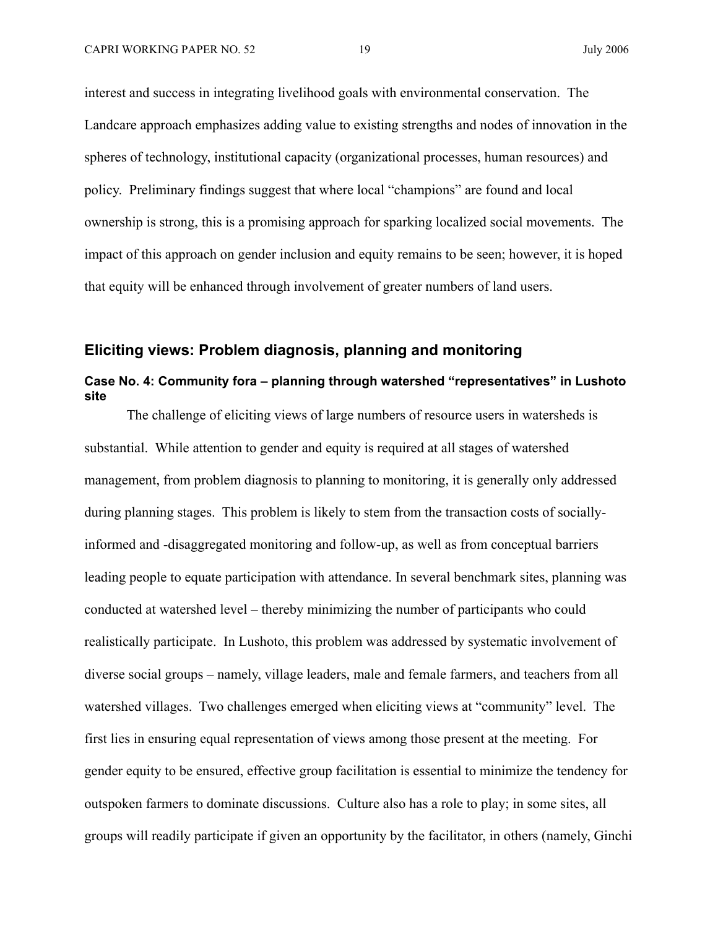interest and success in integrating livelihood goals with environmental conservation. The Landcare approach emphasizes adding value to existing strengths and nodes of innovation in the spheres of technology, institutional capacity (organizational processes, human resources) and policy. Preliminary findings suggest that where local "champions" are found and local ownership is strong, this is a promising approach for sparking localized social movements. The impact of this approach on gender inclusion and equity remains to be seen; however, it is hoped that equity will be enhanced through involvement of greater numbers of land users.

#### **Eliciting views: Problem diagnosis, planning and monitoring**

#### **Case No. 4: Community fora – planning through watershed "representatives" in Lushoto site**

The challenge of eliciting views of large numbers of resource users in watersheds is substantial. While attention to gender and equity is required at all stages of watershed management, from problem diagnosis to planning to monitoring, it is generally only addressed during planning stages. This problem is likely to stem from the transaction costs of sociallyinformed and -disaggregated monitoring and follow-up, as well as from conceptual barriers leading people to equate participation with attendance. In several benchmark sites, planning was conducted at watershed level – thereby minimizing the number of participants who could realistically participate. In Lushoto, this problem was addressed by systematic involvement of diverse social groups – namely, village leaders, male and female farmers, and teachers from all watershed villages. Two challenges emerged when eliciting views at "community" level. The first lies in ensuring equal representation of views among those present at the meeting. For gender equity to be ensured, effective group facilitation is essential to minimize the tendency for outspoken farmers to dominate discussions. Culture also has a role to play; in some sites, all groups will readily participate if given an opportunity by the facilitator, in others (namely, Ginchi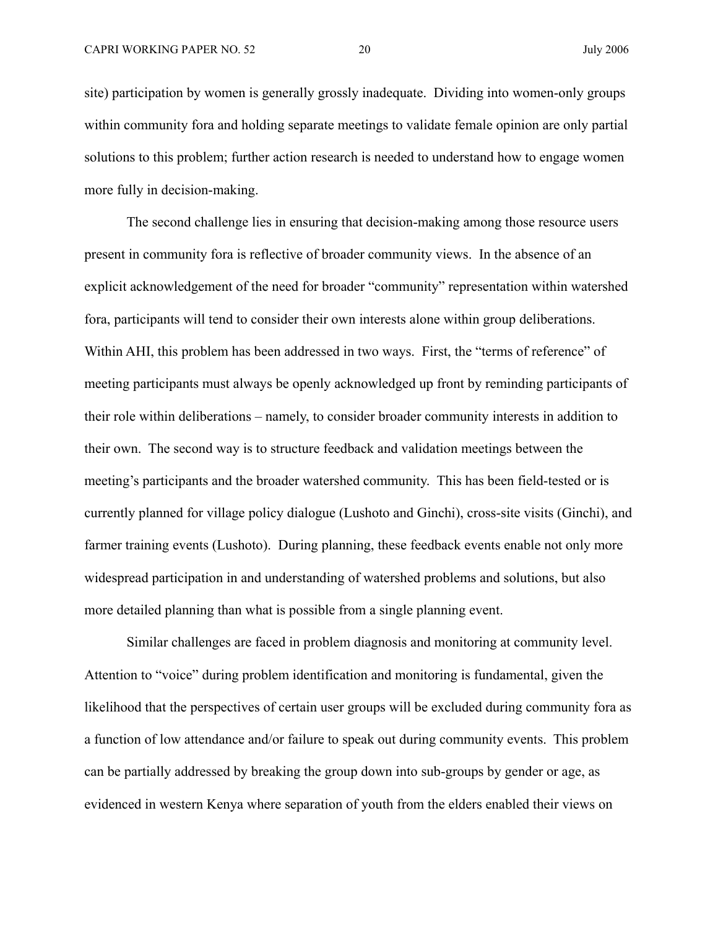site) participation by women is generally grossly inadequate. Dividing into women-only groups within community fora and holding separate meetings to validate female opinion are only partial solutions to this problem; further action research is needed to understand how to engage women more fully in decision-making.

The second challenge lies in ensuring that decision-making among those resource users present in community fora is reflective of broader community views. In the absence of an explicit acknowledgement of the need for broader "community" representation within watershed fora, participants will tend to consider their own interests alone within group deliberations. Within AHI, this problem has been addressed in two ways. First, the "terms of reference" of meeting participants must always be openly acknowledged up front by reminding participants of their role within deliberations – namely, to consider broader community interests in addition to their own. The second way is to structure feedback and validation meetings between the meeting's participants and the broader watershed community. This has been field-tested or is currently planned for village policy dialogue (Lushoto and Ginchi), cross-site visits (Ginchi), and farmer training events (Lushoto). During planning, these feedback events enable not only more widespread participation in and understanding of watershed problems and solutions, but also more detailed planning than what is possible from a single planning event.

Similar challenges are faced in problem diagnosis and monitoring at community level. Attention to "voice" during problem identification and monitoring is fundamental, given the likelihood that the perspectives of certain user groups will be excluded during community fora as a function of low attendance and/or failure to speak out during community events. This problem can be partially addressed by breaking the group down into sub-groups by gender or age, as evidenced in western Kenya where separation of youth from the elders enabled their views on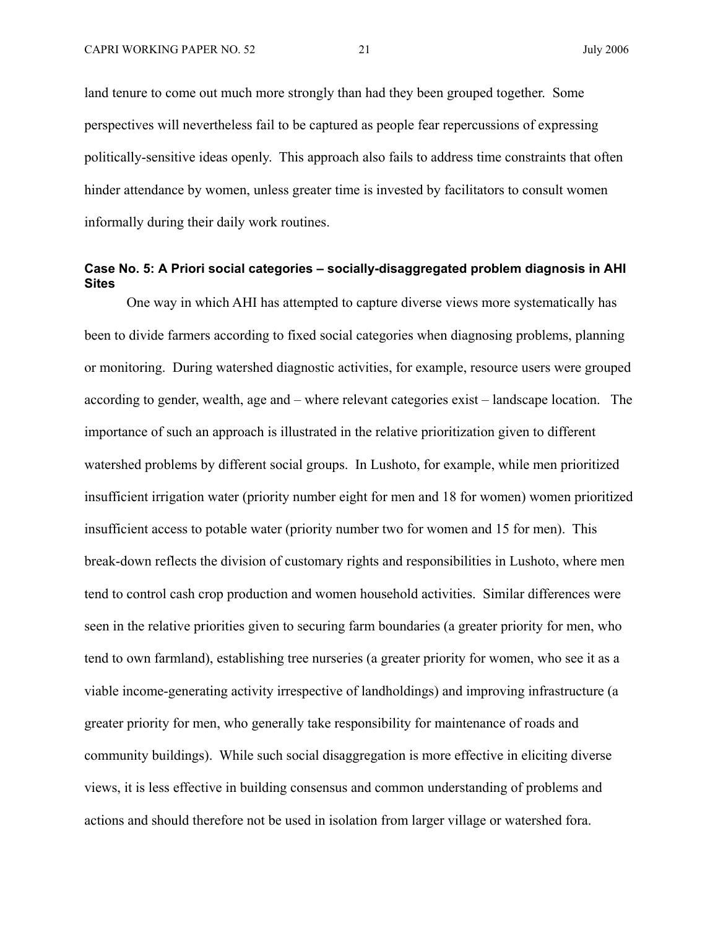land tenure to come out much more strongly than had they been grouped together. Some perspectives will nevertheless fail to be captured as people fear repercussions of expressing politically-sensitive ideas openly. This approach also fails to address time constraints that often hinder attendance by women, unless greater time is invested by facilitators to consult women informally during their daily work routines.

#### **Case No. 5: A Priori social categories – socially-disaggregated problem diagnosis in AHI Sites**

One way in which AHI has attempted to capture diverse views more systematically has been to divide farmers according to fixed social categories when diagnosing problems, planning or monitoring. During watershed diagnostic activities, for example, resource users were grouped according to gender, wealth, age and – where relevant categories exist – landscape location. The importance of such an approach is illustrated in the relative prioritization given to different watershed problems by different social groups. In Lushoto, for example, while men prioritized insufficient irrigation water (priority number eight for men and 18 for women) women prioritized insufficient access to potable water (priority number two for women and 15 for men). This break-down reflects the division of customary rights and responsibilities in Lushoto, where men tend to control cash crop production and women household activities. Similar differences were seen in the relative priorities given to securing farm boundaries (a greater priority for men, who tend to own farmland), establishing tree nurseries (a greater priority for women, who see it as a viable income-generating activity irrespective of landholdings) and improving infrastructure (a greater priority for men, who generally take responsibility for maintenance of roads and community buildings). While such social disaggregation is more effective in eliciting diverse views, it is less effective in building consensus and common understanding of problems and actions and should therefore not be used in isolation from larger village or watershed fora.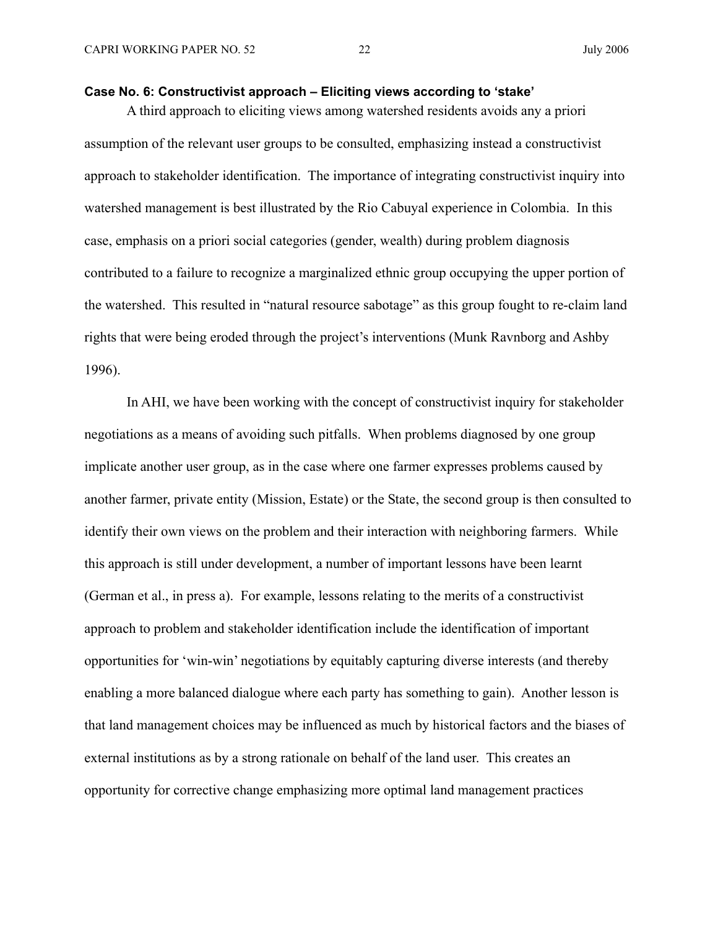#### **Case No. 6: Constructivist approach – Eliciting views according to 'stake'**

A third approach to eliciting views among watershed residents avoids any a priori assumption of the relevant user groups to be consulted, emphasizing instead a constructivist approach to stakeholder identification. The importance of integrating constructivist inquiry into watershed management is best illustrated by the Rio Cabuyal experience in Colombia. In this case, emphasis on a priori social categories (gender, wealth) during problem diagnosis contributed to a failure to recognize a marginalized ethnic group occupying the upper portion of the watershed. This resulted in "natural resource sabotage" as this group fought to re-claim land rights that were being eroded through the project's interventions (Munk Ravnborg and Ashby 1996).

In AHI, we have been working with the concept of constructivist inquiry for stakeholder negotiations as a means of avoiding such pitfalls. When problems diagnosed by one group implicate another user group, as in the case where one farmer expresses problems caused by another farmer, private entity (Mission, Estate) or the State, the second group is then consulted to identify their own views on the problem and their interaction with neighboring farmers. While this approach is still under development, a number of important lessons have been learnt (German et al., in press a). For example, lessons relating to the merits of a constructivist approach to problem and stakeholder identification include the identification of important opportunities for 'win-win' negotiations by equitably capturing diverse interests (and thereby enabling a more balanced dialogue where each party has something to gain). Another lesson is that land management choices may be influenced as much by historical factors and the biases of external institutions as by a strong rationale on behalf of the land user. This creates an opportunity for corrective change emphasizing more optimal land management practices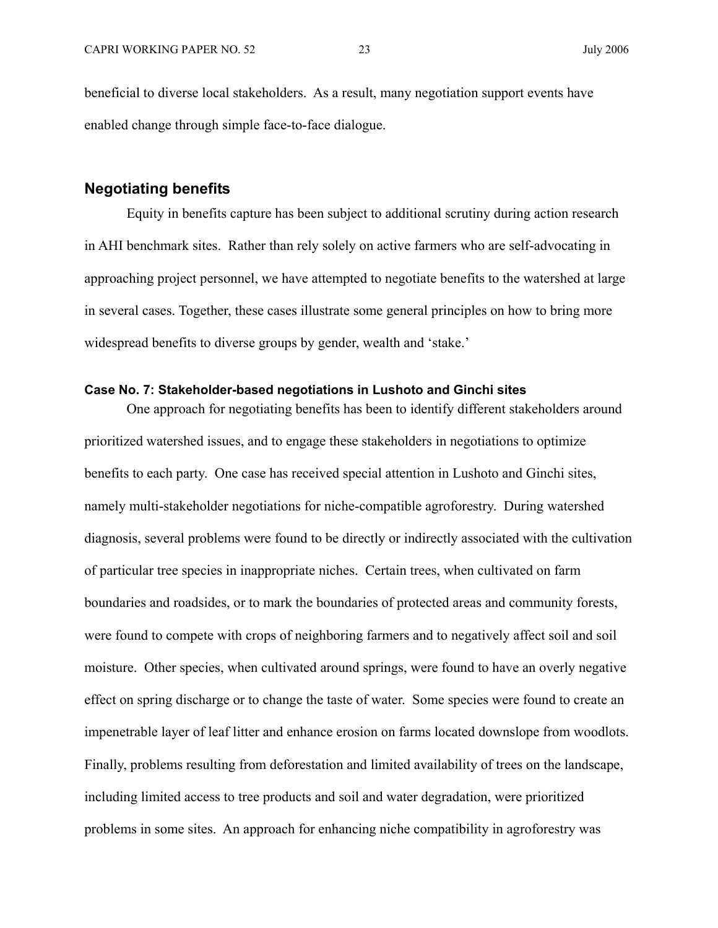beneficial to diverse local stakeholders. As a result, many negotiation support events have enabled change through simple face-to-face dialogue.

#### **Negotiating benefits**

Equity in benefits capture has been subject to additional scrutiny during action research in AHI benchmark sites. Rather than rely solely on active farmers who are self-advocating in approaching project personnel, we have attempted to negotiate benefits to the watershed at large in several cases. Together, these cases illustrate some general principles on how to bring more widespread benefits to diverse groups by gender, wealth and 'stake.'

#### **Case No. 7: Stakeholder-based negotiations in Lushoto and Ginchi sites**

One approach for negotiating benefits has been to identify different stakeholders around prioritized watershed issues, and to engage these stakeholders in negotiations to optimize benefits to each party. One case has received special attention in Lushoto and Ginchi sites, namely multi-stakeholder negotiations for niche-compatible agroforestry. During watershed diagnosis, several problems were found to be directly or indirectly associated with the cultivation of particular tree species in inappropriate niches. Certain trees, when cultivated on farm boundaries and roadsides, or to mark the boundaries of protected areas and community forests, were found to compete with crops of neighboring farmers and to negatively affect soil and soil moisture. Other species, when cultivated around springs, were found to have an overly negative effect on spring discharge or to change the taste of water. Some species were found to create an impenetrable layer of leaf litter and enhance erosion on farms located downslope from woodlots. Finally, problems resulting from deforestation and limited availability of trees on the landscape, including limited access to tree products and soil and water degradation, were prioritized problems in some sites. An approach for enhancing niche compatibility in agroforestry was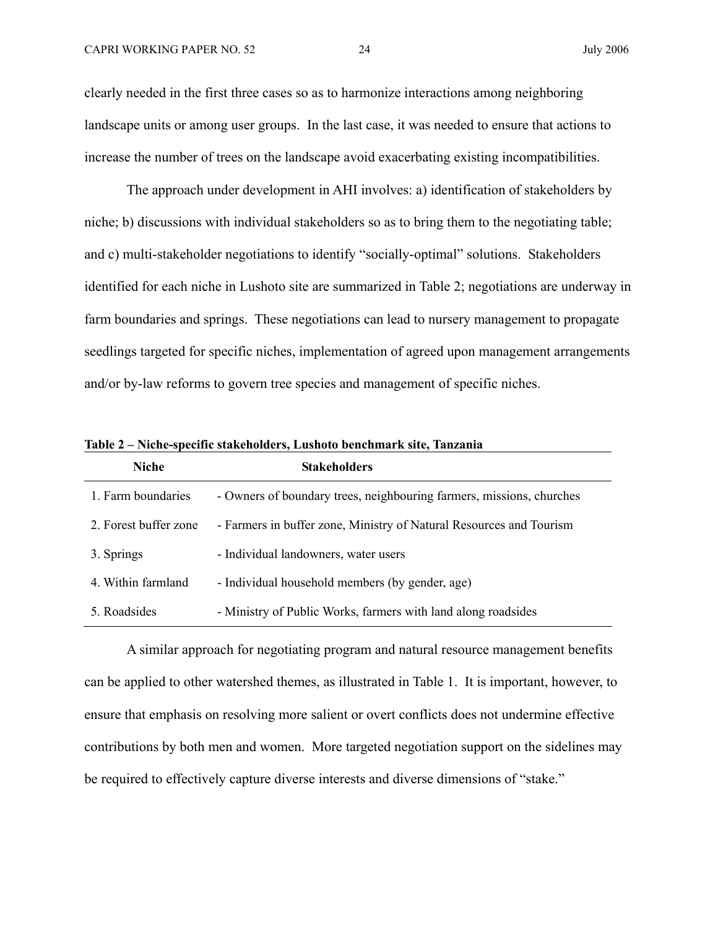clearly needed in the first three cases so as to harmonize interactions among neighboring landscape units or among user groups. In the last case, it was needed to ensure that actions to increase the number of trees on the landscape avoid exacerbating existing incompatibilities.

The approach under development in AHI involves: a) identification of stakeholders by niche; b) discussions with individual stakeholders so as to bring them to the negotiating table; and c) multi-stakeholder negotiations to identify "socially-optimal" solutions. Stakeholders identified for each niche in Lushoto site are summarized in Table 2; negotiations are underway in farm boundaries and springs. These negotiations can lead to nursery management to propagate seedlings targeted for specific niches, implementation of agreed upon management arrangements and/or by-law reforms to govern tree species and management of specific niches.

| <b>Niche</b>          | <b>Stakeholders</b>                                                  |
|-----------------------|----------------------------------------------------------------------|
| 1. Farm boundaries    | - Owners of boundary trees, neighbouring farmers, missions, churches |
| 2. Forest buffer zone | - Farmers in buffer zone, Ministry of Natural Resources and Tourism  |
| 3. Springs            | - Individual landowners, water users                                 |
| 4. Within farmland    | - Individual household members (by gender, age)                      |
| 5. Roadsides          | - Ministry of Public Works, farmers with land along roadsides        |

**Table 2 – Niche-specific stakeholders, Lushoto benchmark site, Tanzania** 

A similar approach for negotiating program and natural resource management benefits can be applied to other watershed themes, as illustrated in Table 1. It is important, however, to ensure that emphasis on resolving more salient or overt conflicts does not undermine effective contributions by both men and women. More targeted negotiation support on the sidelines may be required to effectively capture diverse interests and diverse dimensions of "stake."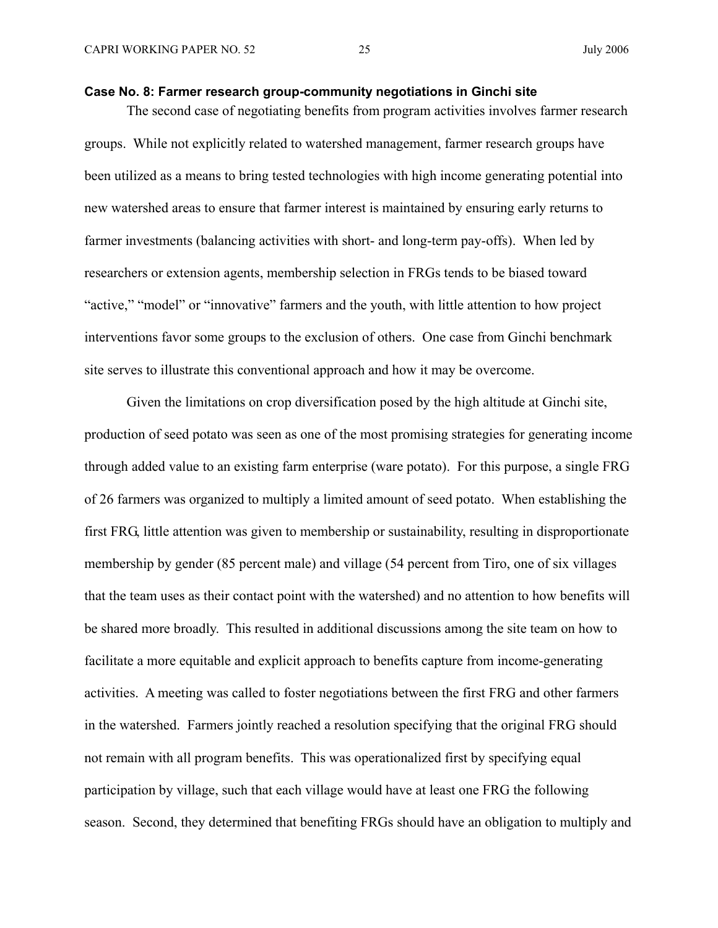#### **Case No. 8: Farmer research group-community negotiations in Ginchi site**

The second case of negotiating benefits from program activities involves farmer research groups. While not explicitly related to watershed management, farmer research groups have been utilized as a means to bring tested technologies with high income generating potential into new watershed areas to ensure that farmer interest is maintained by ensuring early returns to farmer investments (balancing activities with short- and long-term pay-offs). When led by researchers or extension agents, membership selection in FRGs tends to be biased toward "active," "model" or "innovative" farmers and the youth, with little attention to how project interventions favor some groups to the exclusion of others. One case from Ginchi benchmark site serves to illustrate this conventional approach and how it may be overcome.

Given the limitations on crop diversification posed by the high altitude at Ginchi site, production of seed potato was seen as one of the most promising strategies for generating income through added value to an existing farm enterprise (ware potato). For this purpose, a single FRG of 26 farmers was organized to multiply a limited amount of seed potato. When establishing the first FRG, little attention was given to membership or sustainability, resulting in disproportionate membership by gender (85 percent male) and village (54 percent from Tiro, one of six villages that the team uses as their contact point with the watershed) and no attention to how benefits will be shared more broadly. This resulted in additional discussions among the site team on how to facilitate a more equitable and explicit approach to benefits capture from income-generating activities. A meeting was called to foster negotiations between the first FRG and other farmers in the watershed. Farmers jointly reached a resolution specifying that the original FRG should not remain with all program benefits. This was operationalized first by specifying equal participation by village, such that each village would have at least one FRG the following season. Second, they determined that benefiting FRGs should have an obligation to multiply and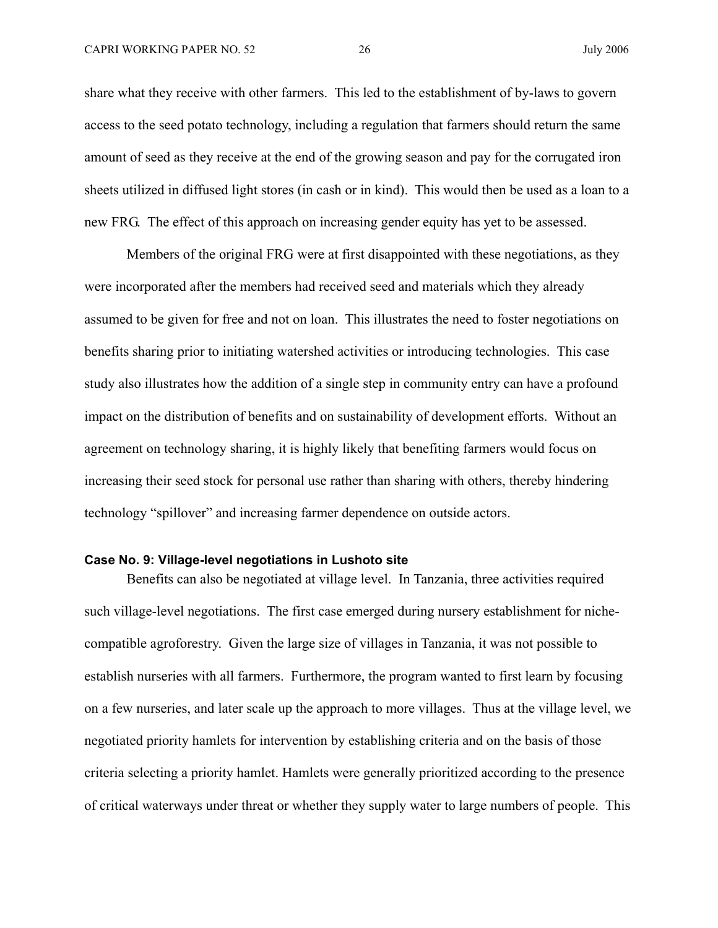share what they receive with other farmers. This led to the establishment of by-laws to govern access to the seed potato technology, including a regulation that farmers should return the same amount of seed as they receive at the end of the growing season and pay for the corrugated iron sheets utilized in diffused light stores (in cash or in kind). This would then be used as a loan to a new FRG. The effect of this approach on increasing gender equity has yet to be assessed.

Members of the original FRG were at first disappointed with these negotiations, as they were incorporated after the members had received seed and materials which they already assumed to be given for free and not on loan. This illustrates the need to foster negotiations on benefits sharing prior to initiating watershed activities or introducing technologies. This case study also illustrates how the addition of a single step in community entry can have a profound impact on the distribution of benefits and on sustainability of development efforts. Without an agreement on technology sharing, it is highly likely that benefiting farmers would focus on increasing their seed stock for personal use rather than sharing with others, thereby hindering technology "spillover" and increasing farmer dependence on outside actors.

#### **Case No. 9: Village-level negotiations in Lushoto site**

Benefits can also be negotiated at village level. In Tanzania, three activities required such village-level negotiations. The first case emerged during nursery establishment for nichecompatible agroforestry. Given the large size of villages in Tanzania, it was not possible to establish nurseries with all farmers. Furthermore, the program wanted to first learn by focusing on a few nurseries, and later scale up the approach to more villages. Thus at the village level, we negotiated priority hamlets for intervention by establishing criteria and on the basis of those criteria selecting a priority hamlet. Hamlets were generally prioritized according to the presence of critical waterways under threat or whether they supply water to large numbers of people. This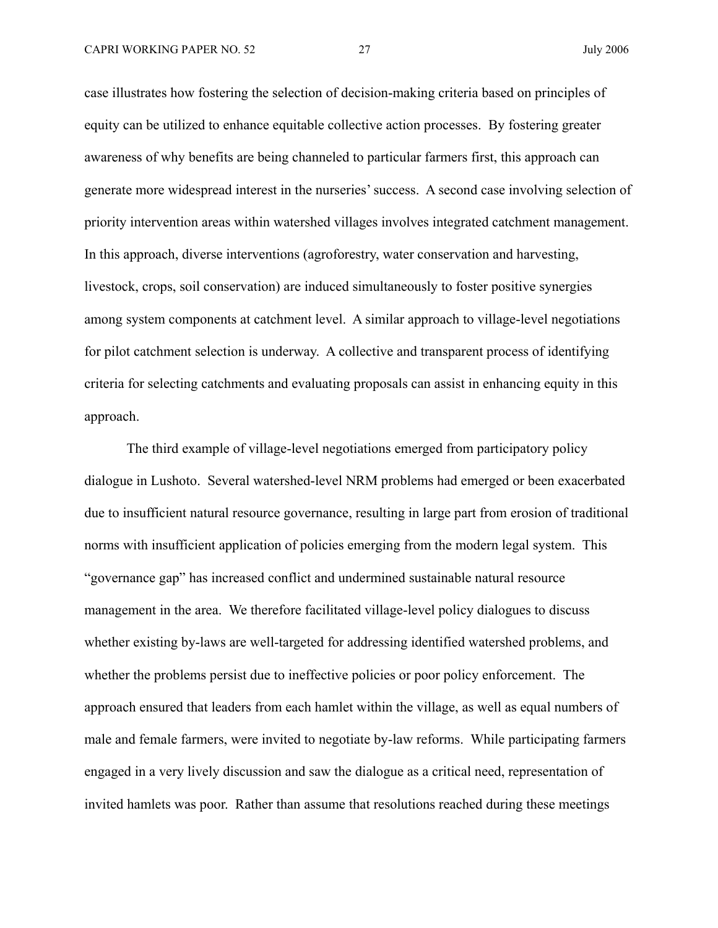case illustrates how fostering the selection of decision-making criteria based on principles of equity can be utilized to enhance equitable collective action processes. By fostering greater awareness of why benefits are being channeled to particular farmers first, this approach can generate more widespread interest in the nurseries' success. A second case involving selection of priority intervention areas within watershed villages involves integrated catchment management. In this approach, diverse interventions (agroforestry, water conservation and harvesting, livestock, crops, soil conservation) are induced simultaneously to foster positive synergies among system components at catchment level. A similar approach to village-level negotiations for pilot catchment selection is underway. A collective and transparent process of identifying criteria for selecting catchments and evaluating proposals can assist in enhancing equity in this approach.

The third example of village-level negotiations emerged from participatory policy dialogue in Lushoto. Several watershed-level NRM problems had emerged or been exacerbated due to insufficient natural resource governance, resulting in large part from erosion of traditional norms with insufficient application of policies emerging from the modern legal system. This "governance gap" has increased conflict and undermined sustainable natural resource management in the area. We therefore facilitated village-level policy dialogues to discuss whether existing by-laws are well-targeted for addressing identified watershed problems, and whether the problems persist due to ineffective policies or poor policy enforcement. The approach ensured that leaders from each hamlet within the village, as well as equal numbers of male and female farmers, were invited to negotiate by-law reforms. While participating farmers engaged in a very lively discussion and saw the dialogue as a critical need, representation of invited hamlets was poor. Rather than assume that resolutions reached during these meetings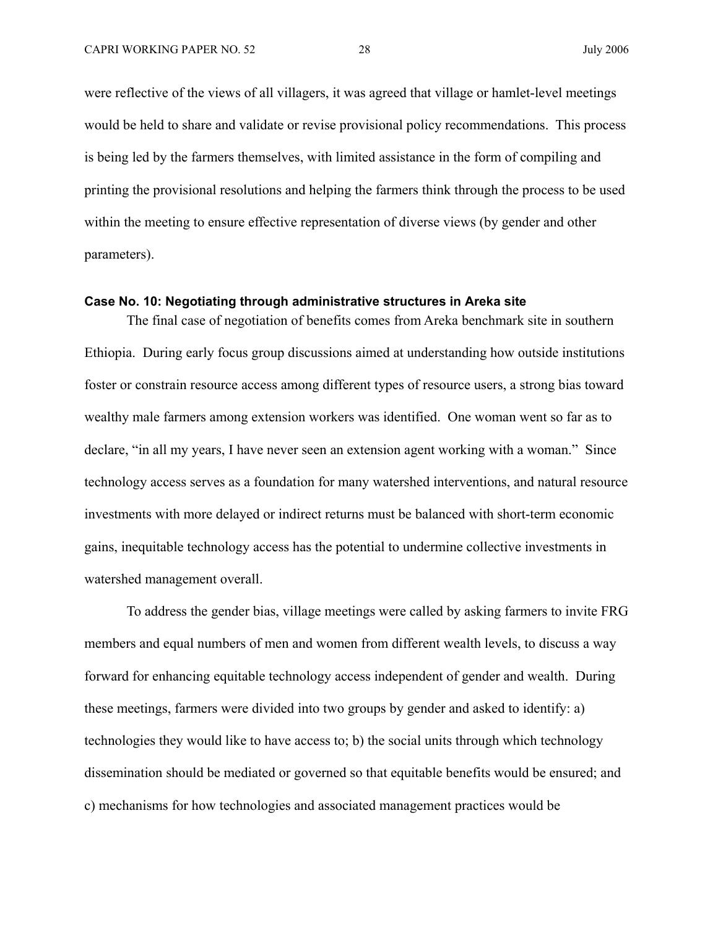were reflective of the views of all villagers, it was agreed that village or hamlet-level meetings would be held to share and validate or revise provisional policy recommendations. This process is being led by the farmers themselves, with limited assistance in the form of compiling and printing the provisional resolutions and helping the farmers think through the process to be used within the meeting to ensure effective representation of diverse views (by gender and other parameters).

#### **Case No. 10: Negotiating through administrative structures in Areka site**

The final case of negotiation of benefits comes from Areka benchmark site in southern Ethiopia. During early focus group discussions aimed at understanding how outside institutions foster or constrain resource access among different types of resource users, a strong bias toward wealthy male farmers among extension workers was identified. One woman went so far as to declare, "in all my years, I have never seen an extension agent working with a woman." Since technology access serves as a foundation for many watershed interventions, and natural resource investments with more delayed or indirect returns must be balanced with short-term economic gains, inequitable technology access has the potential to undermine collective investments in watershed management overall.

To address the gender bias, village meetings were called by asking farmers to invite FRG members and equal numbers of men and women from different wealth levels, to discuss a way forward for enhancing equitable technology access independent of gender and wealth. During these meetings, farmers were divided into two groups by gender and asked to identify: a) technologies they would like to have access to; b) the social units through which technology dissemination should be mediated or governed so that equitable benefits would be ensured; and c) mechanisms for how technologies and associated management practices would be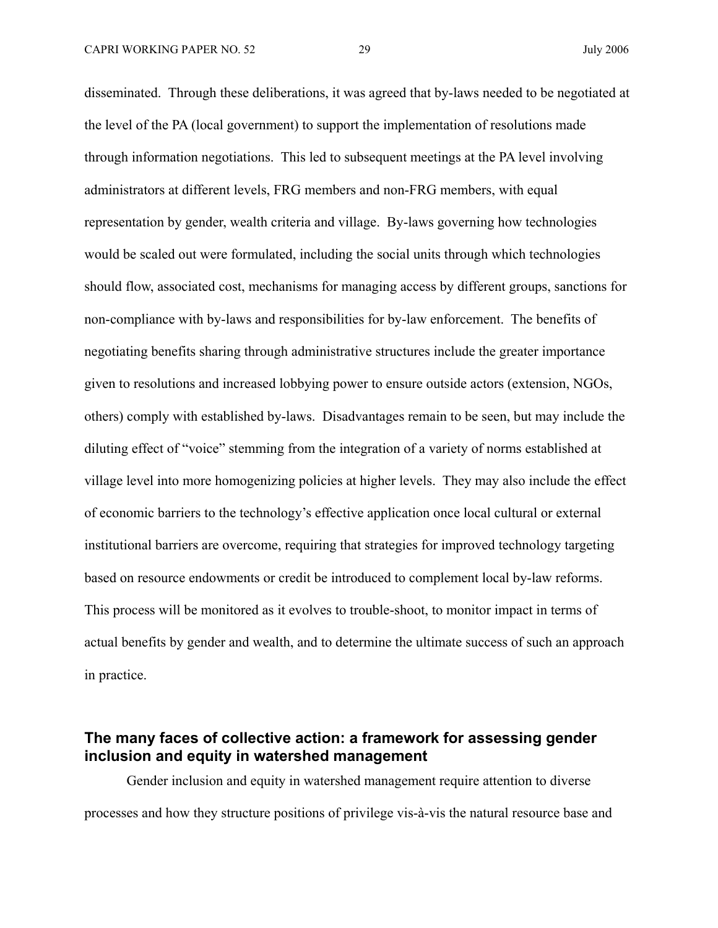disseminated. Through these deliberations, it was agreed that by-laws needed to be negotiated at the level of the PA (local government) to support the implementation of resolutions made through information negotiations. This led to subsequent meetings at the PA level involving administrators at different levels, FRG members and non-FRG members, with equal representation by gender, wealth criteria and village. By-laws governing how technologies would be scaled out were formulated, including the social units through which technologies should flow, associated cost, mechanisms for managing access by different groups, sanctions for non-compliance with by-laws and responsibilities for by-law enforcement. The benefits of negotiating benefits sharing through administrative structures include the greater importance given to resolutions and increased lobbying power to ensure outside actors (extension, NGOs, others) comply with established by-laws. Disadvantages remain to be seen, but may include the diluting effect of "voice" stemming from the integration of a variety of norms established at village level into more homogenizing policies at higher levels. They may also include the effect of economic barriers to the technology's effective application once local cultural or external institutional barriers are overcome, requiring that strategies for improved technology targeting based on resource endowments or credit be introduced to complement local by-law reforms. This process will be monitored as it evolves to trouble-shoot, to monitor impact in terms of actual benefits by gender and wealth, and to determine the ultimate success of such an approach in practice.

## **The many faces of collective action: a framework for assessing gender inclusion and equity in watershed management**

Gender inclusion and equity in watershed management require attention to diverse processes and how they structure positions of privilege vis-à-vis the natural resource base and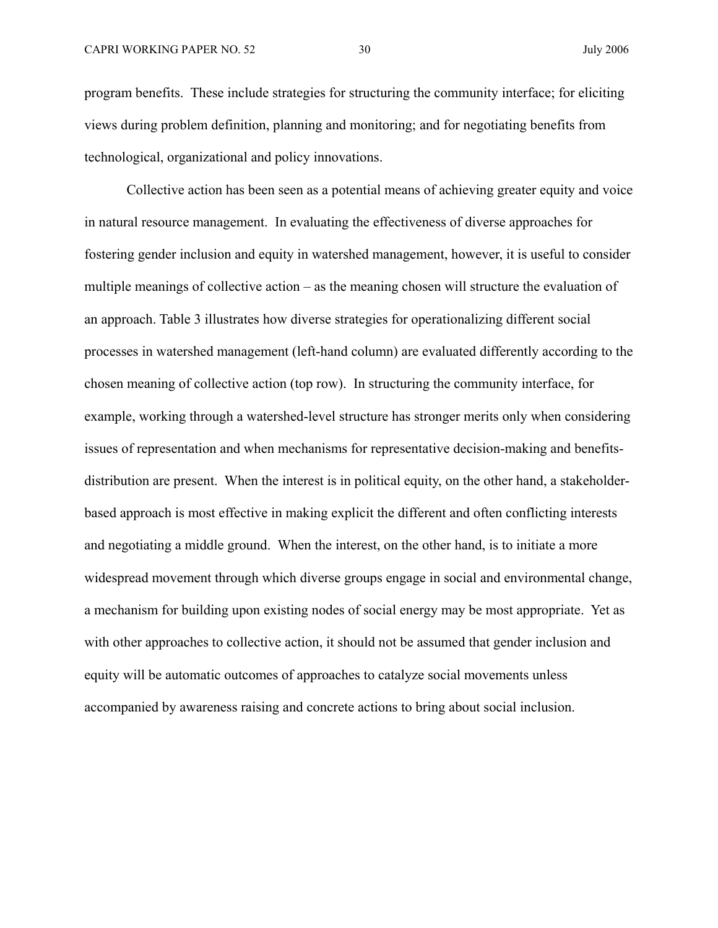program benefits. These include strategies for structuring the community interface; for eliciting views during problem definition, planning and monitoring; and for negotiating benefits from technological, organizational and policy innovations.

Collective action has been seen as a potential means of achieving greater equity and voice in natural resource management. In evaluating the effectiveness of diverse approaches for fostering gender inclusion and equity in watershed management, however, it is useful to consider multiple meanings of collective action – as the meaning chosen will structure the evaluation of an approach. Table 3 illustrates how diverse strategies for operationalizing different social processes in watershed management (left-hand column) are evaluated differently according to the chosen meaning of collective action (top row). In structuring the community interface, for example, working through a watershed-level structure has stronger merits only when considering issues of representation and when mechanisms for representative decision-making and benefitsdistribution are present. When the interest is in political equity, on the other hand, a stakeholderbased approach is most effective in making explicit the different and often conflicting interests and negotiating a middle ground. When the interest, on the other hand, is to initiate a more widespread movement through which diverse groups engage in social and environmental change, a mechanism for building upon existing nodes of social energy may be most appropriate. Yet as with other approaches to collective action, it should not be assumed that gender inclusion and equity will be automatic outcomes of approaches to catalyze social movements unless accompanied by awareness raising and concrete actions to bring about social inclusion.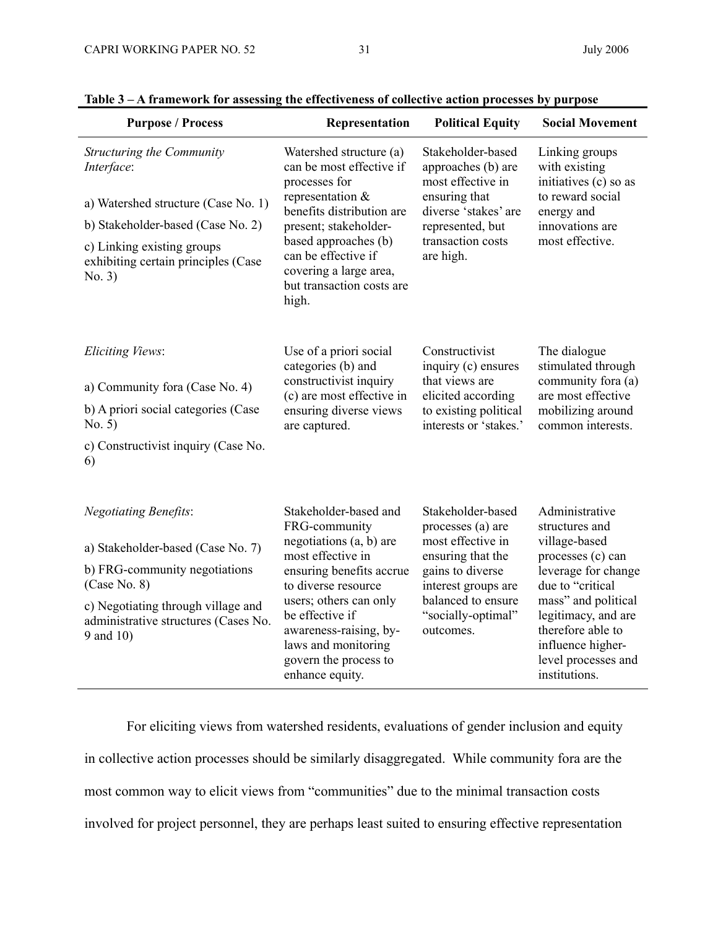| <b>Purpose / Process</b>                                                                                                                                                                                      | Representation                                                                                                                                                                                                                                                                      | <b>Political Equity</b>                                                                                                                                                              | <b>Social Movement</b>                                                                                                                                                                                                                            |
|---------------------------------------------------------------------------------------------------------------------------------------------------------------------------------------------------------------|-------------------------------------------------------------------------------------------------------------------------------------------------------------------------------------------------------------------------------------------------------------------------------------|--------------------------------------------------------------------------------------------------------------------------------------------------------------------------------------|---------------------------------------------------------------------------------------------------------------------------------------------------------------------------------------------------------------------------------------------------|
| Structuring the Community<br>Interface:<br>a) Watershed structure (Case No. 1)<br>b) Stakeholder-based (Case No. 2)<br>c) Linking existing groups<br>exhibiting certain principles (Case<br>No. 3)            | Watershed structure (a)<br>can be most effective if<br>processes for<br>representation $\&$<br>benefits distribution are<br>present; stakeholder-<br>based approaches (b)<br>can be effective if<br>covering a large area,<br>but transaction costs are<br>high.                    | Stakeholder-based<br>approaches (b) are<br>most effective in<br>ensuring that<br>diverse 'stakes' are<br>represented, but<br>transaction costs<br>are high.                          | Linking groups<br>with existing<br>initiatives (c) so as<br>to reward social<br>energy and<br>innovations are<br>most effective.                                                                                                                  |
| Eliciting Views:<br>a) Community fora (Case No. 4)<br>b) A priori social categories (Case<br>No. 5)<br>c) Constructivist inquiry (Case No.<br>6)                                                              | Use of a priori social<br>categories (b) and<br>constructivist inquiry<br>(c) are most effective in<br>ensuring diverse views<br>are captured.                                                                                                                                      | Constructivist<br>inquiry (c) ensures<br>that views are<br>elicited according<br>to existing political<br>interests or 'stakes.'                                                     | The dialogue<br>stimulated through<br>community fora (a)<br>are most effective<br>mobilizing around<br>common interests.                                                                                                                          |
| <b>Negotiating Benefits:</b><br>a) Stakeholder-based (Case No. 7)<br>b) FRG-community negotiations<br>(Case No. 8)<br>c) Negotiating through village and<br>administrative structures (Cases No.<br>9 and 10) | Stakeholder-based and<br>FRG-community<br>negotiations (a, b) are<br>most effective in<br>ensuring benefits accrue<br>to diverse resource<br>users; others can only<br>be effective if<br>awareness-raising, by-<br>laws and monitoring<br>govern the process to<br>enhance equity. | Stakeholder-based<br>processes (a) are<br>most effective in<br>ensuring that the<br>gains to diverse<br>interest groups are<br>balanced to ensure<br>"socially-optimal"<br>outcomes. | Administrative<br>structures and<br>village-based<br>processes (c) can<br>leverage for change<br>due to "critical<br>mass" and political<br>legitimacy, and are<br>therefore able to<br>influence higher-<br>level processes and<br>institutions. |

### **Table 3 – A framework for assessing the effectiveness of collective action processes by purpose**

For eliciting views from watershed residents, evaluations of gender inclusion and equity in collective action processes should be similarly disaggregated. While community fora are the most common way to elicit views from "communities" due to the minimal transaction costs involved for project personnel, they are perhaps least suited to ensuring effective representation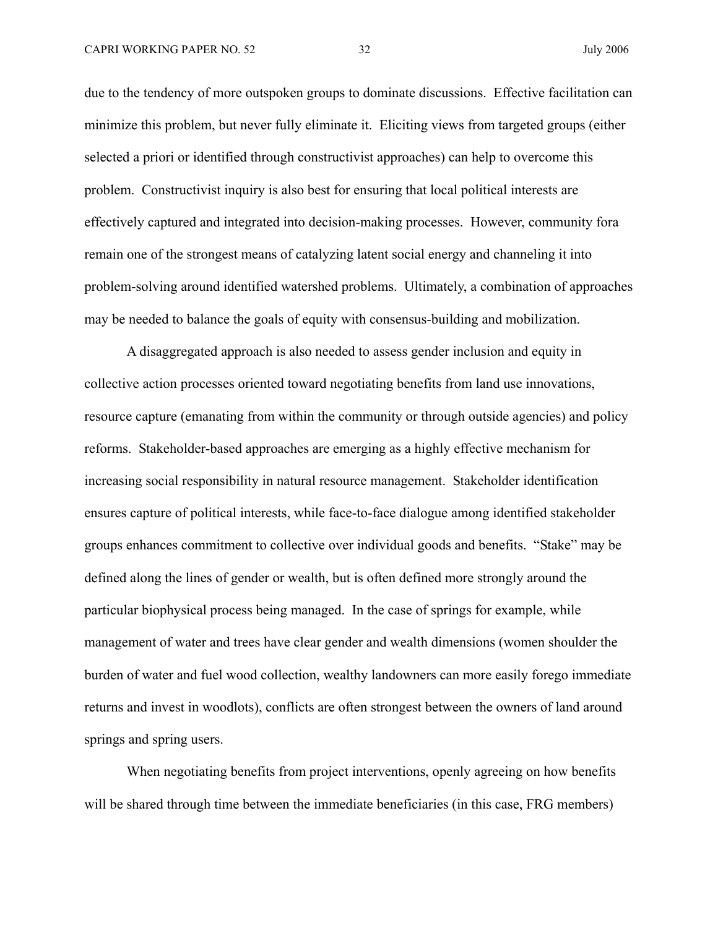due to the tendency of more outspoken groups to dominate discussions. Effective facilitation can minimize this problem, but never fully eliminate it. Eliciting views from targeted groups (either selected a priori or identified through constructivist approaches) can help to overcome this problem. Constructivist inquiry is also best for ensuring that local political interests are effectively captured and integrated into decision-making processes. However, community fora remain one of the strongest means of catalyzing latent social energy and channeling it into problem-solving around identified watershed problems. Ultimately, a combination of approaches may be needed to balance the goals of equity with consensus-building and mobilization.

A disaggregated approach is also needed to assess gender inclusion and equity in collective action processes oriented toward negotiating benefits from land use innovations, resource capture (emanating from within the community or through outside agencies) and policy reforms. Stakeholder-based approaches are emerging as a highly effective mechanism for increasing social responsibility in natural resource management. Stakeholder identification ensures capture of political interests, while face-to-face dialogue among identified stakeholder groups enhances commitment to collective over individual goods and benefits. "Stake" may be defined along the lines of gender or wealth, but is often defined more strongly around the particular biophysical process being managed. In the case of springs for example, while management of water and trees have clear gender and wealth dimensions (women shoulder the burden of water and fuel wood collection, wealthy landowners can more easily forego immediate returns and invest in woodlots), conflicts are often strongest between the owners of land around springs and spring users.

When negotiating benefits from project interventions, openly agreeing on how benefits will be shared through time between the immediate beneficiaries (in this case, FRG members)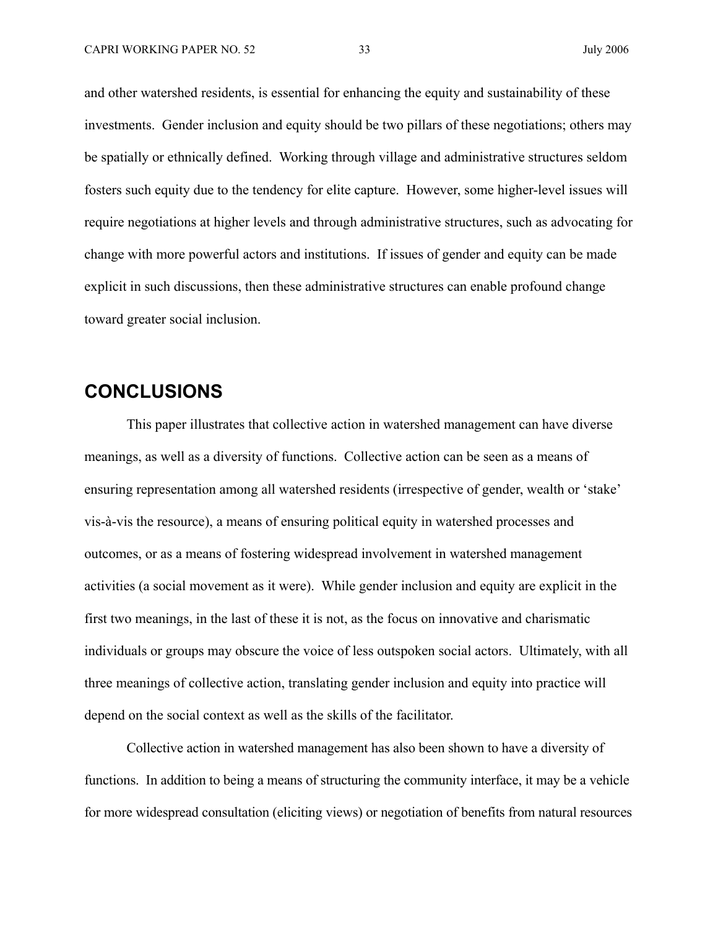and other watershed residents, is essential for enhancing the equity and sustainability of these investments. Gender inclusion and equity should be two pillars of these negotiations; others may be spatially or ethnically defined. Working through village and administrative structures seldom fosters such equity due to the tendency for elite capture. However, some higher-level issues will require negotiations at higher levels and through administrative structures, such as advocating for change with more powerful actors and institutions. If issues of gender and equity can be made explicit in such discussions, then these administrative structures can enable profound change toward greater social inclusion.

## **CONCLUSIONS**

This paper illustrates that collective action in watershed management can have diverse meanings, as well as a diversity of functions. Collective action can be seen as a means of ensuring representation among all watershed residents (irrespective of gender, wealth or 'stake' vis-à-vis the resource), a means of ensuring political equity in watershed processes and outcomes, or as a means of fostering widespread involvement in watershed management activities (a social movement as it were). While gender inclusion and equity are explicit in the first two meanings, in the last of these it is not, as the focus on innovative and charismatic individuals or groups may obscure the voice of less outspoken social actors. Ultimately, with all three meanings of collective action, translating gender inclusion and equity into practice will depend on the social context as well as the skills of the facilitator.

Collective action in watershed management has also been shown to have a diversity of functions. In addition to being a means of structuring the community interface, it may be a vehicle for more widespread consultation (eliciting views) or negotiation of benefits from natural resources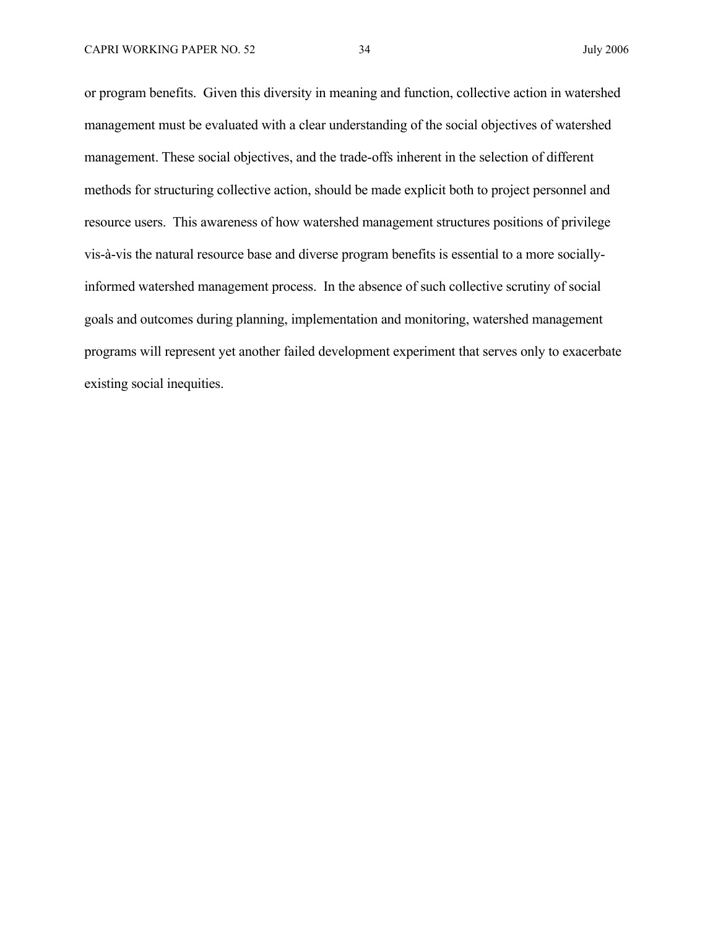or program benefits. Given this diversity in meaning and function, collective action in watershed management must be evaluated with a clear understanding of the social objectives of watershed management. These social objectives, and the trade-offs inherent in the selection of different methods for structuring collective action, should be made explicit both to project personnel and resource users. This awareness of how watershed management structures positions of privilege vis-à-vis the natural resource base and diverse program benefits is essential to a more sociallyinformed watershed management process. In the absence of such collective scrutiny of social goals and outcomes during planning, implementation and monitoring, watershed management programs will represent yet another failed development experiment that serves only to exacerbate existing social inequities.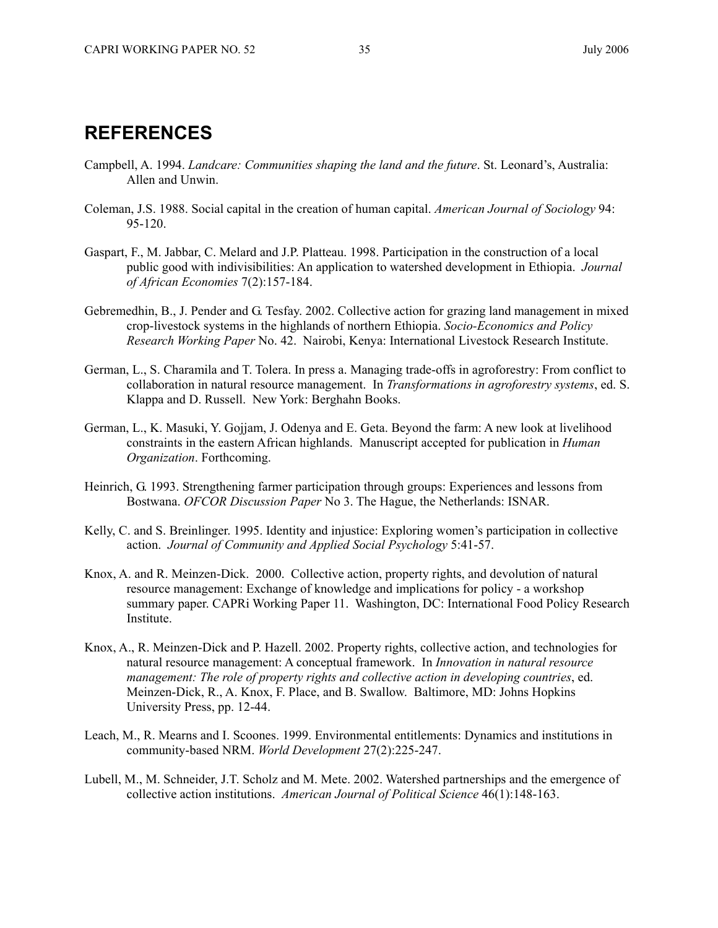## **REFERENCES**

- Campbell, A. 1994. *Landcare: Communities shaping the land and the future*. St. Leonard's, Australia: Allen and Unwin.
- Coleman, J.S. 1988. Social capital in the creation of human capital. *American Journal of Sociology* 94: 95-120.
- Gaspart, F., M. Jabbar, C. Melard and J.P. Platteau. 1998. Participation in the construction of a local public good with indivisibilities: An application to watershed development in Ethiopia. *Journal of African Economies* 7(2):157-184.
- Gebremedhin, B., J. Pender and G. Tesfay. 2002. Collective action for grazing land management in mixed crop-livestock systems in the highlands of northern Ethiopia. *Socio-Economics and Policy Research Working Paper* No. 42. Nairobi, Kenya: International Livestock Research Institute.
- German, L., S. Charamila and T. Tolera. In press a. Managing trade-offs in agroforestry: From conflict to collaboration in natural resource management. In *Transformations in agroforestry systems*, ed. S. Klappa and D. Russell. New York: Berghahn Books.
- German, L., K. Masuki, Y. Gojjam, J. Odenya and E. Geta. Beyond the farm: A new look at livelihood constraints in the eastern African highlands. Manuscript accepted for publication in *Human Organization*. Forthcoming.
- Heinrich, G. 1993. Strengthening farmer participation through groups: Experiences and lessons from Bostwana. *OFCOR Discussion Paper* No 3. The Hague, the Netherlands: ISNAR.
- Kelly, C. and S. Breinlinger. 1995. Identity and injustice: Exploring women's participation in collective action. *Journal of Community and Applied Social Psychology* 5:41-57.
- Knox, A. and R. Meinzen-Dick. 2000. Collective action, property rights, and devolution of natural resource management: Exchange of knowledge and implications for policy - a workshop summary paper. CAPRi Working Paper 11. Washington, DC: International Food Policy Research Institute.
- Knox, A., R. Meinzen-Dick and P. Hazell. 2002. Property rights, collective action, and technologies for natural resource management: A conceptual framework. In *Innovation in natural resource management: The role of property rights and collective action in developing countries*, ed. Meinzen-Dick, R., A. Knox, F. Place, and B. Swallow. Baltimore, MD: Johns Hopkins University Press, pp. 12-44.
- Leach, M., R. Mearns and I. Scoones. 1999. Environmental entitlements: Dynamics and institutions in community-based NRM. *World Development* 27(2):225-247.
- Lubell, M., M. Schneider, J.T. Scholz and M. Mete. 2002. Watershed partnerships and the emergence of collective action institutions. *American Journal of Political Science* 46(1):148-163.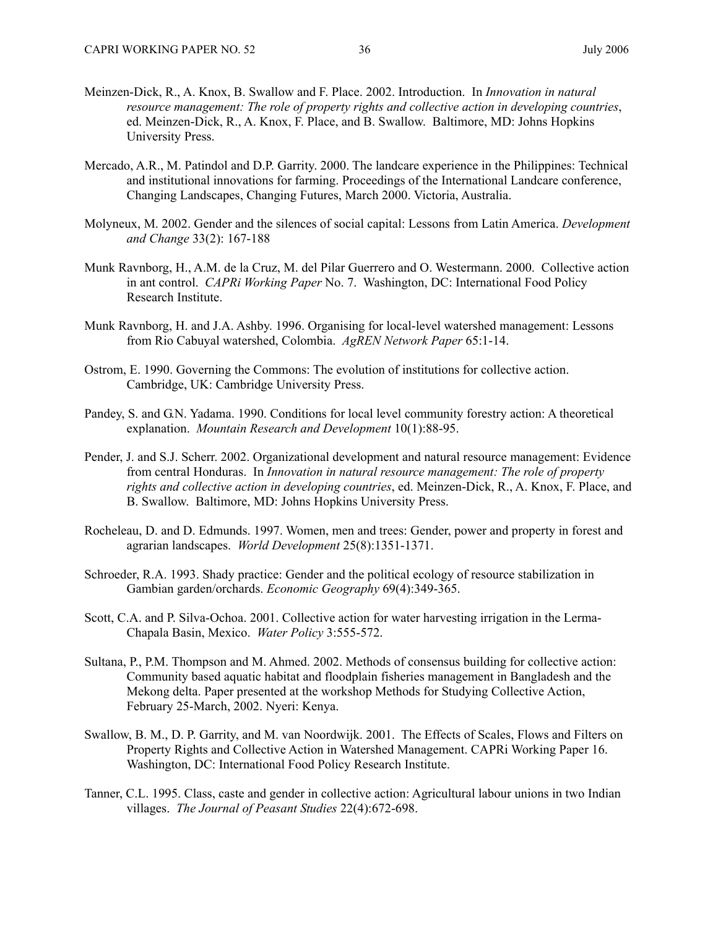- Meinzen-Dick, R., A. Knox, B. Swallow and F. Place. 2002. Introduction. In *Innovation in natural resource management: The role of property rights and collective action in developing countries*, ed. Meinzen-Dick, R., A. Knox, F. Place, and B. Swallow. Baltimore, MD: Johns Hopkins University Press.
- Mercado, A.R., M. Patindol and D.P. Garrity. 2000. The landcare experience in the Philippines: Technical and institutional innovations for farming. Proceedings of the International Landcare conference, Changing Landscapes, Changing Futures, March 2000. Victoria, Australia.
- Molyneux, M. 2002. Gender and the silences of social capital: Lessons from Latin America. *Development and Change* 33(2): 167-188
- Munk Ravnborg, H., A.M. de la Cruz, M. del Pilar Guerrero and O. Westermann. 2000. Collective action in ant control. *CAPRi Working Paper* No. 7. Washington, DC: International Food Policy Research Institute.
- Munk Ravnborg, H. and J.A. Ashby. 1996. Organising for local-level watershed management: Lessons from Rio Cabuyal watershed, Colombia. *AgREN Network Paper* 65:1-14.
- Ostrom, E. 1990. Governing the Commons: The evolution of institutions for collective action. Cambridge, UK: Cambridge University Press.
- Pandey, S. and G.N. Yadama. 1990. Conditions for local level community forestry action: A theoretical explanation. *Mountain Research and Development* 10(1):88-95.
- Pender, J. and S.J. Scherr. 2002. Organizational development and natural resource management: Evidence from central Honduras. In *Innovation in natural resource management: The role of property rights and collective action in developing countries*, ed. Meinzen-Dick, R., A. Knox, F. Place, and B. Swallow. Baltimore, MD: Johns Hopkins University Press.
- Rocheleau, D. and D. Edmunds. 1997. Women, men and trees: Gender, power and property in forest and agrarian landscapes. *World Development* 25(8):1351-1371.
- Schroeder, R.A. 1993. Shady practice: Gender and the political ecology of resource stabilization in Gambian garden/orchards. *Economic Geography* 69(4):349-365.
- Scott, C.A. and P. Silva-Ochoa. 2001. Collective action for water harvesting irrigation in the Lerma-Chapala Basin, Mexico. *Water Policy* 3:555-572.
- Sultana, P., P.M. Thompson and M. Ahmed. 2002. Methods of consensus building for collective action: Community based aquatic habitat and floodplain fisheries management in Bangladesh and the Mekong delta. Paper presented at the workshop Methods for Studying Collective Action, February 25-March, 2002. Nyeri: Kenya.
- Swallow, B. M., D. P. Garrity, and M. van Noordwijk. 2001. The Effects of Scales, Flows and Filters on Property Rights and Collective Action in Watershed Management. CAPRi Working Paper 16. Washington, DC: International Food Policy Research Institute.
- Tanner, C.L. 1995. Class, caste and gender in collective action: Agricultural labour unions in two Indian villages. *The Journal of Peasant Studies* 22(4):672-698.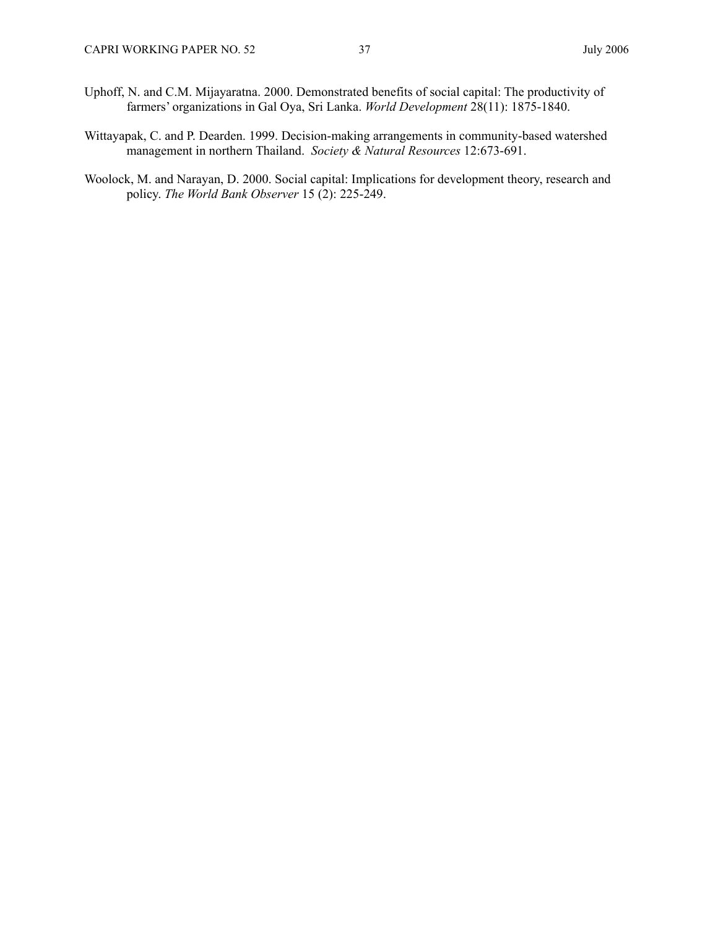- Uphoff, N. and C.M. Mijayaratna. 2000. Demonstrated benefits of social capital: The productivity of farmers' organizations in Gal Oya, Sri Lanka. *World Development* 28(11): 1875-1840.
- Wittayapak, C. and P. Dearden. 1999. Decision-making arrangements in community-based watershed management in northern Thailand. *Society & Natural Resources* 12:673-691.
- Woolock, M. and Narayan, D. 2000. Social capital: Implications for development theory, research and policy. *The World Bank Observer* 15 (2): 225-249.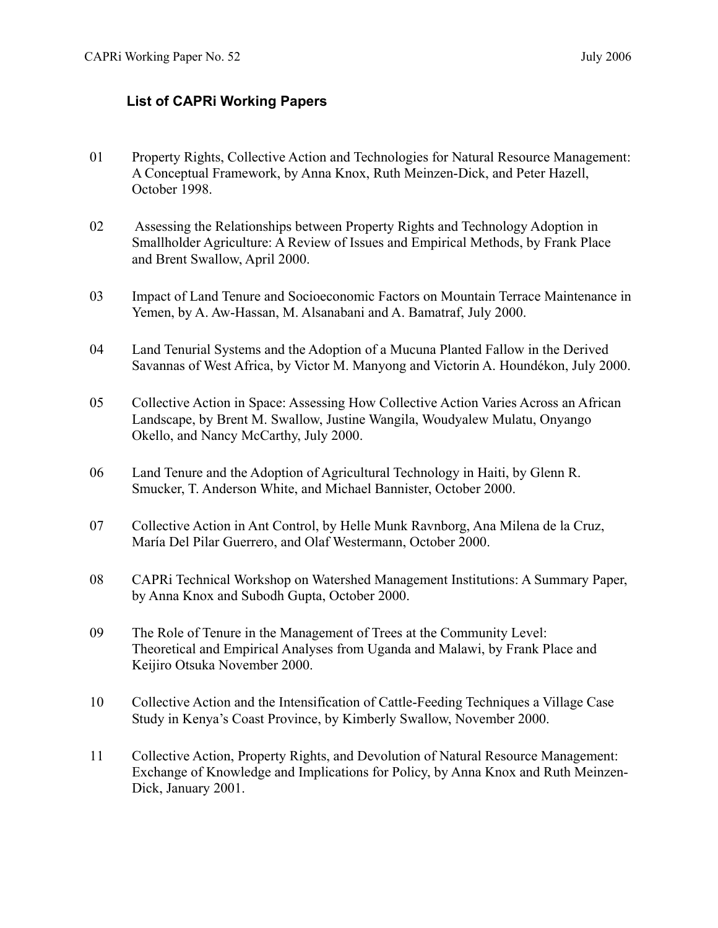## **List of CAPRi Working Papers**

- 01 Property Rights, Collective Action and Technologies for Natural Resource Management: A Conceptual Framework, by Anna Knox, Ruth Meinzen-Dick, and Peter Hazell, October 1998.
- 02 Assessing the Relationships between Property Rights and Technology Adoption in Smallholder Agriculture: A Review of Issues and Empirical Methods, by Frank Place and Brent Swallow, April 2000.
- 03 Impact of Land Tenure and Socioeconomic Factors on Mountain Terrace Maintenance in Yemen, by A. Aw-Hassan, M. Alsanabani and A. Bamatraf, July 2000.
- 04 Land Tenurial Systems and the Adoption of a Mucuna Planted Fallow in the Derived Savannas of West Africa, by Victor M. Manyong and Victorin A. Houndékon, July 2000.
- 05 Collective Action in Space: Assessing How Collective Action Varies Across an African Landscape, by Brent M. Swallow, Justine Wangila, Woudyalew Mulatu, Onyango Okello, and Nancy McCarthy, July 2000.
- 06 Land Tenure and the Adoption of Agricultural Technology in Haiti, by Glenn R. Smucker, T. Anderson White, and Michael Bannister, October 2000.
- 07 Collective Action in Ant Control, by Helle Munk Ravnborg, Ana Milena de la Cruz, María Del Pilar Guerrero, and Olaf Westermann, October 2000.
- 08 CAPRi Technical Workshop on Watershed Management Institutions: A Summary Paper, by Anna Knox and Subodh Gupta, October 2000.
- 09 The Role of Tenure in the Management of Trees at the Community Level: Theoretical and Empirical Analyses from Uganda and Malawi, by Frank Place and Keijiro Otsuka November 2000.
- 10 Collective Action and the Intensification of Cattle-Feeding Techniques a Village Case Study in Kenya's Coast Province, by Kimberly Swallow, November 2000.
- 11 Collective Action, Property Rights, and Devolution of Natural Resource Management: Exchange of Knowledge and Implications for Policy, by Anna Knox and Ruth Meinzen-Dick, January 2001.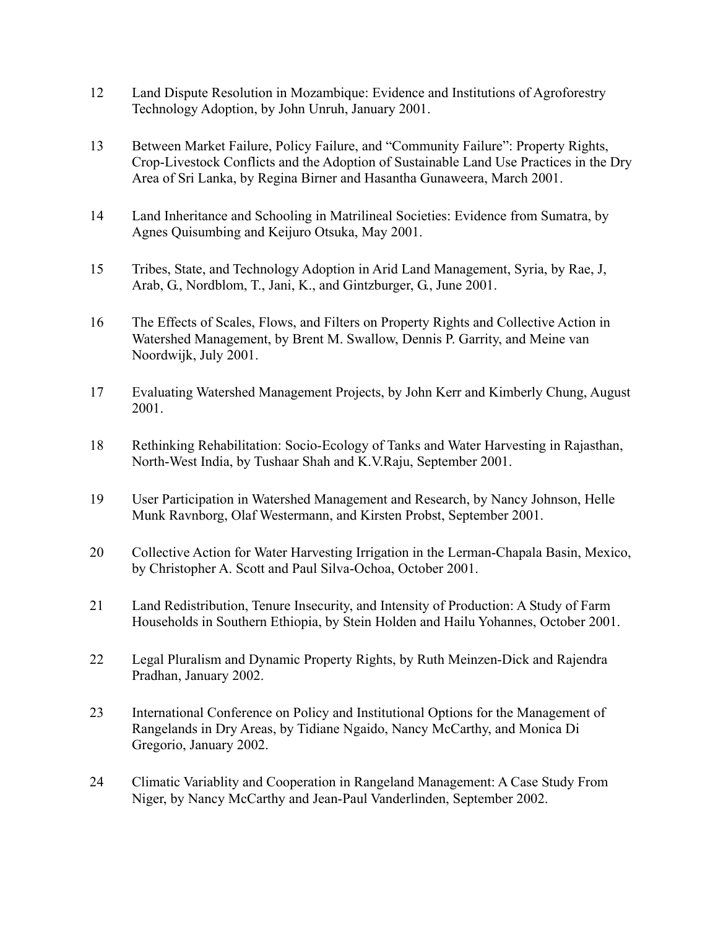- 12 Land Dispute Resolution in Mozambique: Evidence and Institutions of Agroforestry Technology Adoption, by John Unruh, January 2001.
- 13 Between Market Failure, Policy Failure, and "Community Failure": Property Rights, Crop-Livestock Conflicts and the Adoption of Sustainable Land Use Practices in the Dry Area of Sri Lanka, by Regina Birner and Hasantha Gunaweera, March 2001.
- 14 Land Inheritance and Schooling in Matrilineal Societies: Evidence from Sumatra, by Agnes Quisumbing and Keijuro Otsuka, May 2001.
- 15 Tribes, State, and Technology Adoption in Arid Land Management, Syria, by Rae, J, Arab, G., Nordblom, T., Jani, K., and Gintzburger, G., June 2001.
- 16 The Effects of Scales, Flows, and Filters on Property Rights and Collective Action in Watershed Management, by Brent M. Swallow, Dennis P. Garrity, and Meine van Noordwijk, July 2001.
- 17 Evaluating Watershed Management Projects, by John Kerr and Kimberly Chung, August 2001.
- 18 Rethinking Rehabilitation: Socio-Ecology of Tanks and Water Harvesting in Rajasthan, North-West India, by Tushaar Shah and K.V.Raju, September 2001.
- 19 User Participation in Watershed Management and Research, by Nancy Johnson, Helle Munk Ravnborg, Olaf Westermann, and Kirsten Probst, September 2001.
- 20 Collective Action for Water Harvesting Irrigation in the Lerman-Chapala Basin, Mexico, by Christopher A. Scott and Paul Silva-Ochoa, October 2001.
- 21 Land Redistribution, Tenure Insecurity, and Intensity of Production: A Study of Farm Households in Southern Ethiopia, by Stein Holden and Hailu Yohannes, October 2001.
- 22 Legal Pluralism and Dynamic Property Rights, by Ruth Meinzen-Dick and Rajendra Pradhan, January 2002.
- 23 International Conference on Policy and Institutional Options for the Management of Rangelands in Dry Areas, by Tidiane Ngaido, Nancy McCarthy, and Monica Di Gregorio, January 2002.
- 24 Climatic Variablity and Cooperation in Rangeland Management: A Case Study From Niger, by Nancy McCarthy and Jean-Paul Vanderlinden, September 2002.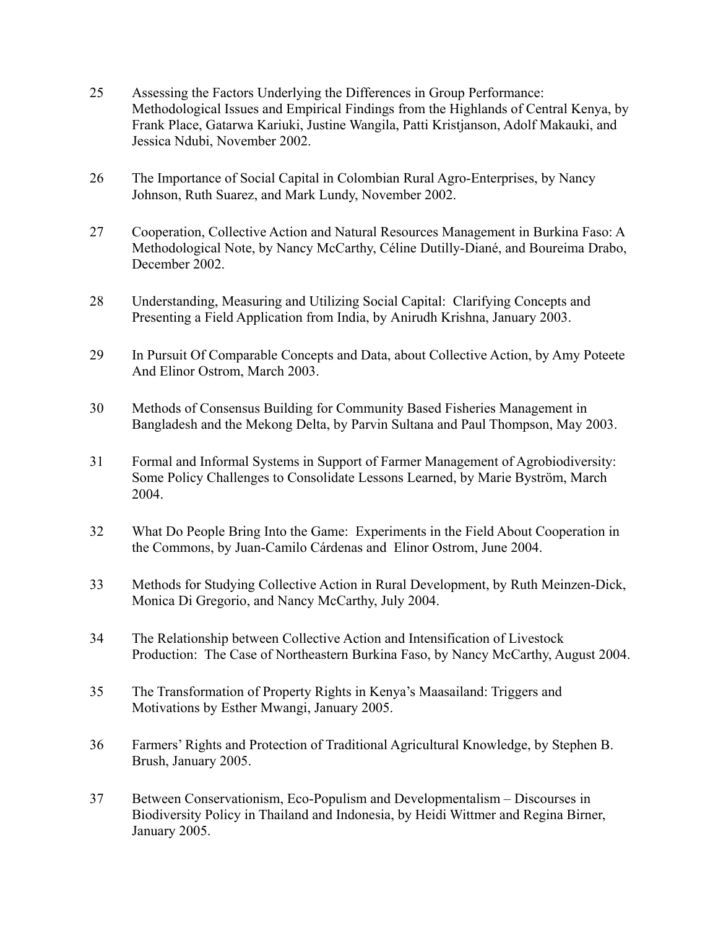- 25 Assessing the Factors Underlying the Differences in Group Performance: Methodological Issues and Empirical Findings from the Highlands of Central Kenya, by Frank Place, Gatarwa Kariuki, Justine Wangila, Patti Kristjanson, Adolf Makauki, and Jessica Ndubi, November 2002.
- 26 The Importance of Social Capital in Colombian Rural Agro-Enterprises, by Nancy Johnson, Ruth Suarez, and Mark Lundy, November 2002.
- 27 Cooperation, Collective Action and Natural Resources Management in Burkina Faso: A Methodological Note, by Nancy McCarthy, Céline Dutilly-Diané, and Boureima Drabo, December 2002.
- 28 Understanding, Measuring and Utilizing Social Capital: Clarifying Concepts and Presenting a Field Application from India, by Anirudh Krishna, January 2003.
- 29 In Pursuit Of Comparable Concepts and Data, about Collective Action, by Amy Poteete And Elinor Ostrom, March 2003.
- 30 Methods of Consensus Building for Community Based Fisheries Management in Bangladesh and the Mekong Delta, by Parvin Sultana and Paul Thompson, May 2003.
- 31 Formal and Informal Systems in Support of Farmer Management of Agrobiodiversity: Some Policy Challenges to Consolidate Lessons Learned, by Marie Byström, March 2004.
- 32 What Do People Bring Into the Game: Experiments in the Field About Cooperation in the Commons, by Juan-Camilo Cárdenas and Elinor Ostrom, June 2004.
- 33 Methods for Studying Collective Action in Rural Development, by Ruth Meinzen-Dick, Monica Di Gregorio, and Nancy McCarthy, July 2004.
- 34 The Relationship between Collective Action and Intensification of Livestock Production: The Case of Northeastern Burkina Faso, by Nancy McCarthy, August 2004.
- 35 The Transformation of Property Rights in Kenya's Maasailand: Triggers and Motivations by Esther Mwangi, January 2005.
- 36 Farmers' Rights and Protection of Traditional Agricultural Knowledge, by Stephen B. Brush, January 2005.
- 37 Between Conservationism, Eco-Populism and Developmentalism Discourses in Biodiversity Policy in Thailand and Indonesia, by Heidi Wittmer and Regina Birner, January 2005.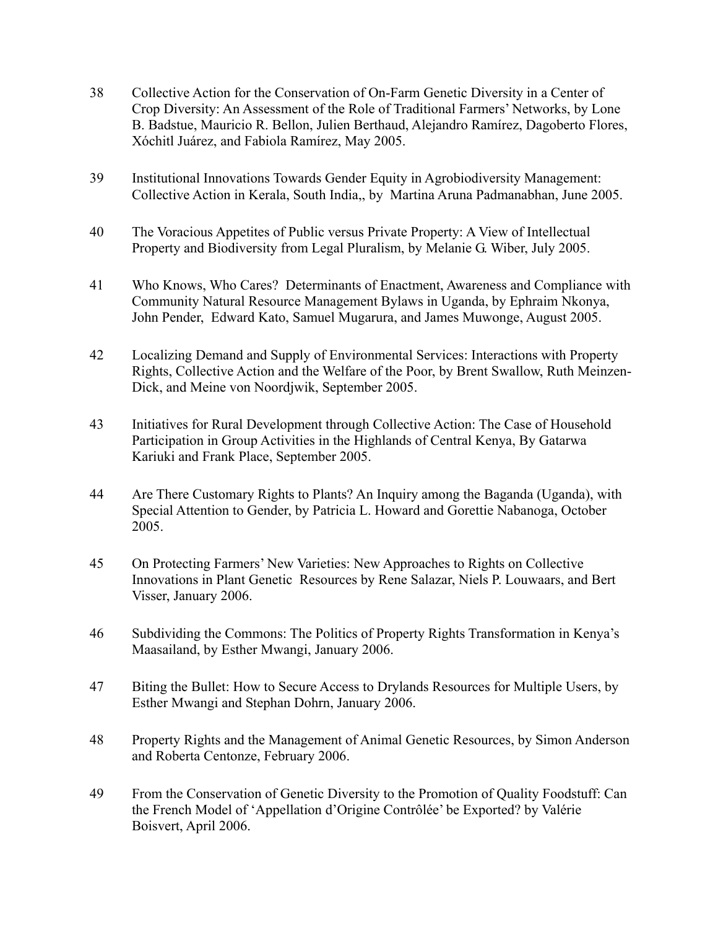- 38 Collective Action for the Conservation of On-Farm Genetic Diversity in a Center of Crop Diversity: An Assessment of the Role of Traditional Farmers' Networks, by Lone B. Badstue, Mauricio R. Bellon, Julien Berthaud, Alejandro Ramírez, Dagoberto Flores, Xóchitl Juárez, and Fabiola Ramírez, May 2005.
- 39 Institutional Innovations Towards Gender Equity in Agrobiodiversity Management: Collective Action in Kerala, South India,, by Martina Aruna Padmanabhan, June 2005.
- 40 The Voracious Appetites of Public versus Private Property: A View of Intellectual Property and Biodiversity from Legal Pluralism, by Melanie G. Wiber, July 2005.
- 41 Who Knows, Who Cares? Determinants of Enactment, Awareness and Compliance with Community Natural Resource Management Bylaws in Uganda, by Ephraim Nkonya, John Pender, Edward Kato, Samuel Mugarura, and James Muwonge, August 2005.
- 42 Localizing Demand and Supply of Environmental Services: Interactions with Property Rights, Collective Action and the Welfare of the Poor, by Brent Swallow, Ruth Meinzen-Dick, and Meine von Noordjwik, September 2005.
- 43 Initiatives for Rural Development through Collective Action: The Case of Household Participation in Group Activities in the Highlands of Central Kenya, By Gatarwa Kariuki and Frank Place, September 2005.
- 44 Are There Customary Rights to Plants? An Inquiry among the Baganda (Uganda), with Special Attention to Gender, by Patricia L. Howard and Gorettie Nabanoga, October 2005.
- 45 On Protecting Farmers' New Varieties: New Approaches to Rights on Collective Innovations in Plant Genetic Resources by Rene Salazar, Niels P. Louwaars, and Bert Visser, January 2006.
- 46 Subdividing the Commons: The Politics of Property Rights Transformation in Kenya's Maasailand, by Esther Mwangi, January 2006.
- 47 Biting the Bullet: How to Secure Access to Drylands Resources for Multiple Users, by Esther Mwangi and Stephan Dohrn, January 2006.
- 48 Property Rights and the Management of Animal Genetic Resources, by Simon Anderson and Roberta Centonze, February 2006.
- 49 From the Conservation of Genetic Diversity to the Promotion of Quality Foodstuff: Can the French Model of 'Appellation d'Origine Contrôlée' be Exported? by Valérie Boisvert, April 2006.